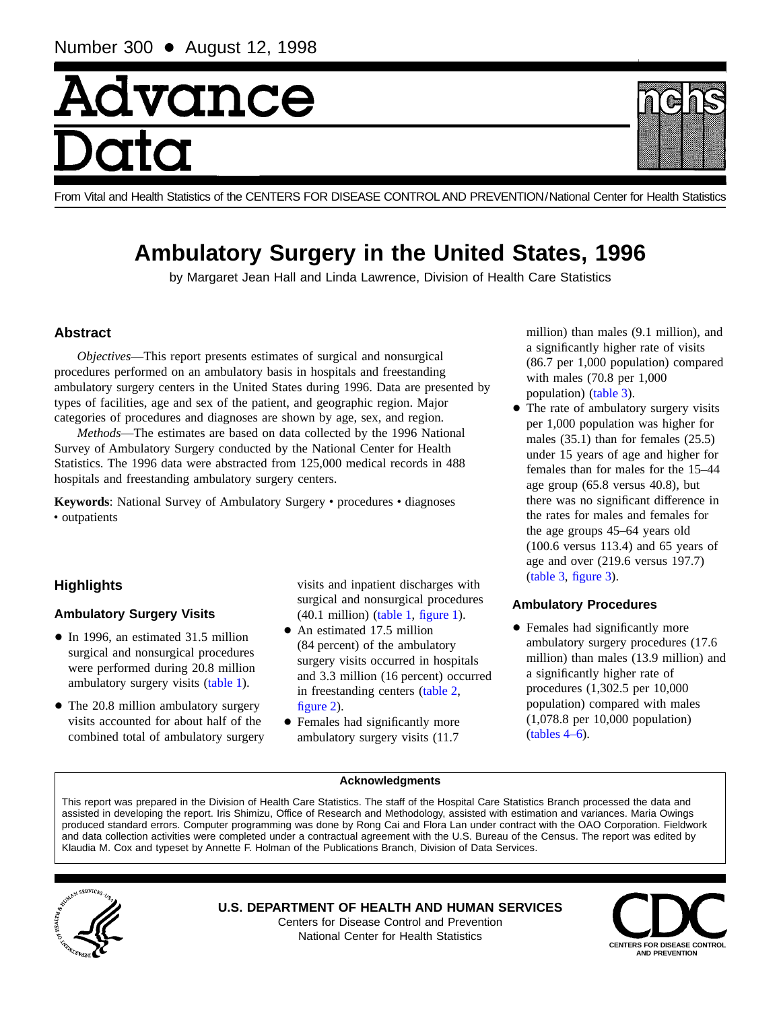# Advance

From Vital and Health Statistics of the CENTERS FOR DISEASE CONTROL AND PREVENTION/National Center for Health Statistics

# **Ambulatory Surgery in the United States, 1996**

by Margaret Jean Hall and Linda Lawrence, Division of Health Care Statistics

# **Abstract**

*Objectives*—This report presents estimates of surgical and nonsurgical procedures performed on an ambulatory basis in hospitals and freestanding ambulatory surgery centers in the United States during 1996. Data are presented by types of facilities, age and sex of the patient, and geographic region. Major categories of procedures and diagnoses are shown by age, sex, and region.

*Methods*—The estimates are based on data collected by the 1996 National Survey of Ambulatory Surgery conducted by the National Center for Health Statistics. The 1996 data were abstracted from 125,000 medical records in 488 hospitals and freestanding ambulatory surgery centers.

Keywords: National Survey of Ambulatory Surgery · procedures · diagnoses • outpatients

# **Highlights**

# **Ambulatory Surgery Visits**

- In 1996, an estimated 31.5 million surgical and nonsurgical procedures were performed during 20.8 million ambulatory surgery visit[s \(table 1\).](#page-1-0)
- The 20.8 million ambulatory surgery visits accounted for about half of the combined total of ambulatory surgery

visits and inpatient discharges with surgical and nonsurgical procedures  $(40.1 \text{ million})$  (table 1, [figure 1\).](#page-1-0)

- $\bullet$  An estimated 17.5 million (84 percent) of the ambulatory surgery visits occurred in hospitals and 3.3 million (16 percent) occurred in freestanding center[s \(table 2,](#page-1-0) [figure 2\).](#page-2-0)
- Females had significantly more ambulatory surgery visits (11.7

million) than males (9.1 million), and a significantly higher rate of visits (86.7 per 1,000 population) compared with males (70.8 per 1,000 populatio[n\) \(table 3\).](#page-3-0)

• The rate of ambulatory surgery visits per 1,000 population was higher for males (35.1) than for females (25.5) under 15 years of age and higher for females than for males for the 15–44 age group (65.8 versus 40.8), but there was no significant difference in the rates for males and females for the age groups 45–64 years old (100.6 versus 113.4) and 65 years of age and over (219.6 versus 197.7) [\(table 3,](#page-3-0) [figure 3\).](#page-4-0)

# **Ambulatory Procedures**

• Females had significantly more ambulatory surgery procedures (17.6 million) than males (13.9 million) and a significantly higher rate of procedures (1,302.5 per 10,000 population) compared with males (1,078.8 per 10,000 population) [\(tables 4–6\).](#page-6-0)

#### **Acknowledgments**

This report was prepared in the Division of Health Care Statistics. The staff of the Hospital Care Statistics Branch processed the data and assisted in developing the report. Iris Shimizu, Office of Research and Methodology, assisted with estimation and variances. Maria Owings produced standard errors. Computer programming was done by Rong Cai and Flora Lan under contract with the OAO Corporation. Fieldwork and data collection activities were completed under a contractual agreement with the U.S. Bureau of the Census. The report was edited by Klaudia M. Cox and typeset by Annette F. Holman of the Publications Branch, Division of Data Services.



**U.S. DEPARTMENT OF HEALTH AND HUMAN SERVICES** Centers for Disease Control and Prevention



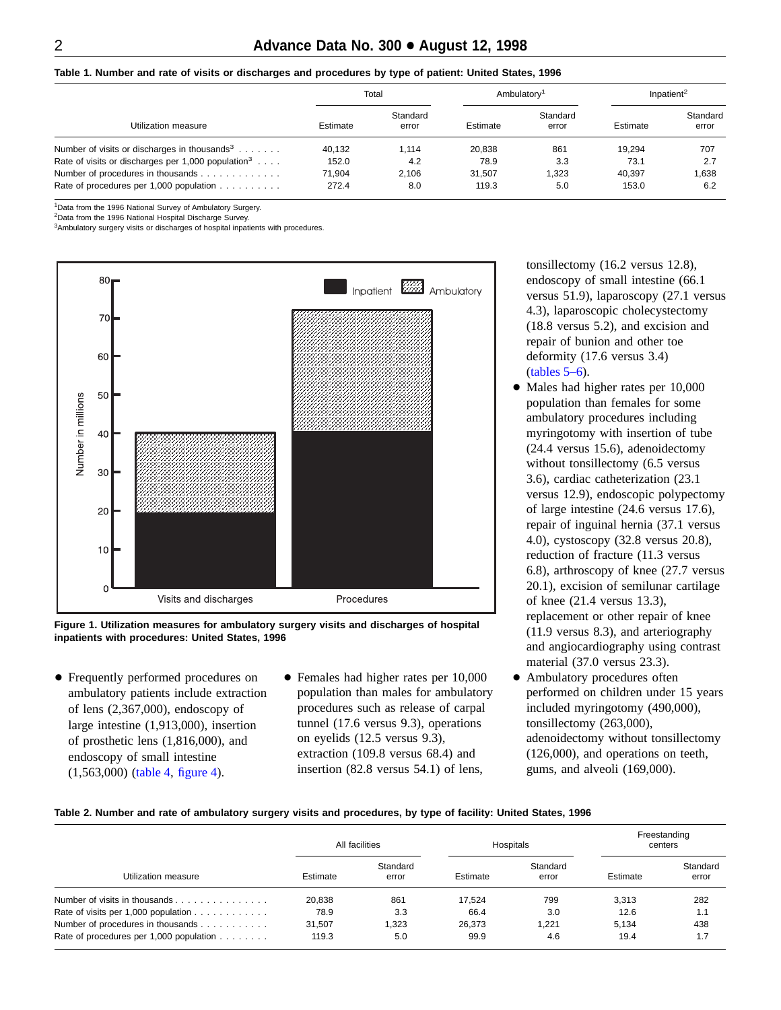<span id="page-1-0"></span>**Table 1. Number and rate of visits or discharges and procedures by type of patient: United States, 1996**

|                                                                |          | Total             |          | Ambulatory <sup>1</sup> | Inpatient <sup>2</sup> |                   |  |  |
|----------------------------------------------------------------|----------|-------------------|----------|-------------------------|------------------------|-------------------|--|--|
| Utilization measure                                            | Estimate | Standard<br>error | Estimate | Standard<br>error       | Estimate               | Standard<br>error |  |  |
| Number of visits or discharges in thousands <sup>3</sup>       | 40.132   | 1.114             | 20.838   | 861                     | 19.294                 | 707               |  |  |
| Rate of visits or discharges per 1,000 population <sup>3</sup> | 152.0    | 4.2               | 78.9     | 3.3                     | 73.1                   | 2.7               |  |  |
| Number of procedures in thousands                              | 71.904   | 2.106             | 31.507   | 1.323                   | 40.397                 | 1,638             |  |  |
| Rate of procedures per 1,000 population                        | 272.4    | 8.0               | 119.3    | 5.0                     | 153.0                  | 6.2               |  |  |

1Data from the 1996 National Survey of Ambulatory Surgery.

<sup>2</sup>Data from the 1996 National Hospital Discharge Survey.

<sup>3</sup>Ambulatory surgery visits or discharges of hospital inpatients with procedures.



**Figure 1. Utilization measures for ambulatory surgery visits and discharges of hospital inpatients with procedures: United States, 1996**

- Frequently performed procedures on ambulatory patients include extraction of lens (2,367,000), endoscopy of large intestine (1,913,000), insertion of prosthetic lens (1,816,000), and endoscopy of small intestine (1,563,00[0\) \(table 4,](#page-6-0) [figure 4\).](#page-5-0)
- Females had higher rates per 10,000 population than males for ambulatory procedures such as release of carpal tunnel (17.6 versus 9.3), operations on eyelids (12.5 versus 9.3), extraction (109.8 versus 68.4) and insertion (82.8 versus 54.1) of lens,

tonsillectomy (16.2 versus 12.8), endoscopy of small intestine (66.1 versus 51.9), laparoscopy (27.1 versus 4.3), laparoscopic cholecystectomy (18.8 versus 5.2), and excision and repair of bunion and other toe deformity (17.6 versus 3.4) [\(tables 5–6\).](#page-7-0)

- Males had higher rates per 10,000 population than females for some ambulatory procedures including myringotomy with insertion of tube (24.4 versus 15.6), adenoidectomy without tonsillectomy (6.5 versus 3.6), cardiac catheterization (23.1 versus 12.9), endoscopic polypectomy of large intestine (24.6 versus 17.6), repair of inguinal hernia (37.1 versus 4.0), cystoscopy (32.8 versus 20.8), reduction of fracture (11.3 versus 6.8), arthroscopy of knee (27.7 versus 20.1), excision of semilunar cartilage of knee (21.4 versus 13.3), replacement or other repair of knee (11.9 versus 8.3), and arteriography and angiocardiography using contrast material (37.0 versus 23.3).
- $\bullet$  Ambulatory procedures often performed on children under 15 years included myringotomy (490,000), tonsillectomy (263,000), adenoidectomy without tonsillectomy (126,000), and operations on teeth, gums, and alveoli (169,000).

#### **Table 2. Number and rate of ambulatory surgery visits and procedures, by type of facility: United States, 1996**

|                                                                   | All facilities |                   |          | <b>Hospitals</b>  | Freestanding<br>centers |                   |  |
|-------------------------------------------------------------------|----------------|-------------------|----------|-------------------|-------------------------|-------------------|--|
| Utilization measure                                               | Estimate       | Standard<br>error | Estimate | Standard<br>error | Estimate                | Standard<br>error |  |
| Number of visits in thousands                                     | 20.838         | 861               | 17.524   | 799               | 3.313                   | 282               |  |
| Rate of visits per 1,000 population $\ldots \ldots \ldots \ldots$ | 78.9           | 3.3               | 66.4     | 3.0               | 12.6                    | 1.1               |  |
| Number of procedures in thousands                                 | 31.507         | 1.323             | 26.373   | 1.221             | 5.134                   | 438               |  |
| Rate of procedures per 1,000 population                           | 119.3          | 5.0               | 99.9     | 4.6               | 19.4                    | 1.7               |  |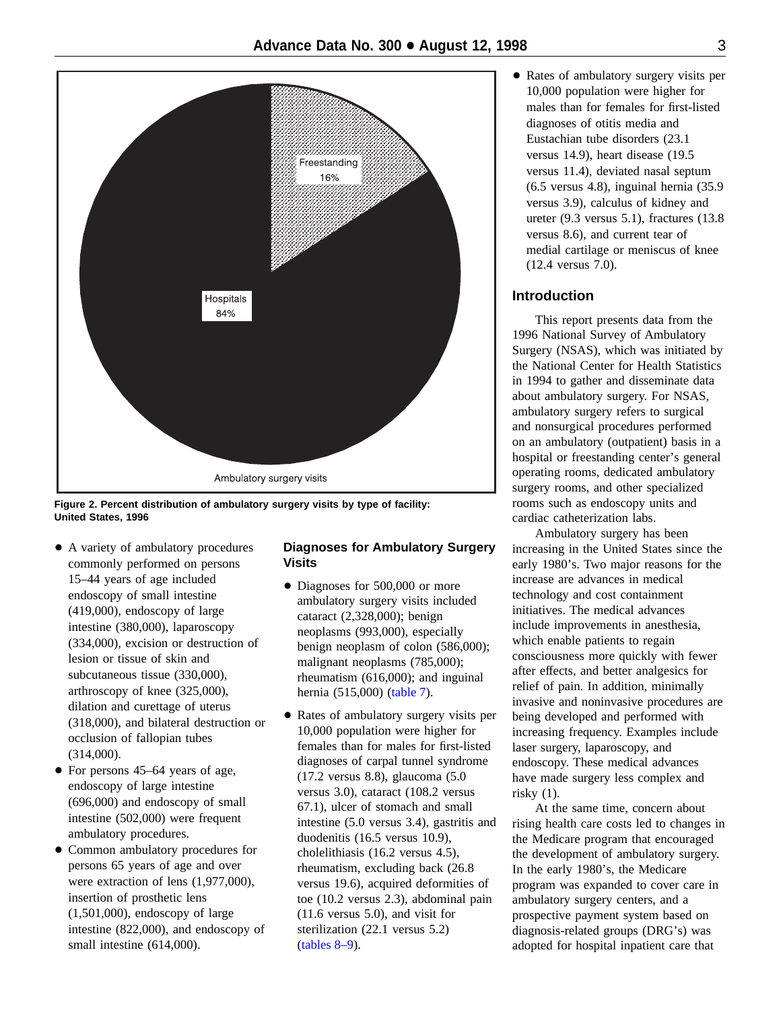<span id="page-2-0"></span>

**Figure 2. Percent distribution of ambulatory surgery visits by type of facility: United States, 1996**

- A variety of ambulatory procedures commonly performed on persons 15–44 years of age included endoscopy of small intestine (419,000), endoscopy of large intestine (380,000), laparoscopy (334,000), excision or destruction of lesion or tissue of skin and subcutaneous tissue (330,000), arthroscopy of knee (325,000), dilation and curettage of uterus (318,000), and bilateral destruction or occlusion of fallopian tubes (314,000).
- $\bullet$  For persons 45–64 years of age, endoscopy of large intestine (696,000) and endoscopy of small intestine (502,000) were frequent ambulatory procedures.
- Common ambulatory procedures for persons 65 years of age and over were extraction of lens (1,977,000), insertion of prosthetic lens (1,501,000), endoscopy of large intestine (822,000), and endoscopy of small intestine (614,000).

# **Diagnoses for Ambulatory Surgery Visits**

- Diagnoses for 500,000 or more ambulatory surgery visits included cataract (2,328,000); benign neoplasms (993,000), especially benign neoplasm of colon (586,000); malignant neoplasms (785,000); rheumatism (616,000); and inguinal hernia (515,00[0\) \(table 7\).](#page-9-0)
- + Rates of ambulatory surgery visits per 10,000 population were higher for females than for males for first-listed diagnoses of carpal tunnel syndrome (17.2 versus 8.8), glaucoma (5.0 versus 3.0), cataract (108.2 versus 67.1), ulcer of stomach and small intestine (5.0 versus 3.4), gastritis and duodenitis (16.5 versus 10.9), cholelithiasis (16.2 versus 4.5), rheumatism, excluding back (26.8 versus 19.6), acquired deformities of toe (10.2 versus 2.3), abdominal pain (11.6 versus 5.0), and visit for [sterilization \(2](#page-10-0)2.1 versus 5.2) (tables 8–9).

• Rates of ambulatory surgery visits per 10,000 population were higher for males than for females for first-listed diagnoses of otitis media and Eustachian tube disorders (23.1 versus 14.9), heart disease (19.5 versus 11.4), deviated nasal septum (6.5 versus 4.8), inguinal hernia (35.9 versus 3.9), calculus of kidney and ureter (9.3 versus 5.1), fractures (13.8 versus 8.6), and current tear of medial cartilage or meniscus of knee (12.4 versus 7.0).

# **Introduction**

This report presents data from the 1996 National Survey of Ambulatory Surgery (NSAS), which was initiated by the National Center for Health Statistics in 1994 to gather and disseminate data about ambulatory surgery. For NSAS, ambulatory surgery refers to surgical and nonsurgical procedures performed on an ambulatory (outpatient) basis in a hospital or freestanding center's general operating rooms, dedicated ambulatory surgery rooms, and other specialized rooms such as endoscopy units and cardiac catheterization labs.

Ambulatory surgery has been increasing in the United States since the early 1980's. Two major reasons for the increase are advances in medical technology and cost containment initiatives. The medical advances include improvements in anesthesia, which enable patients to regain consciousness more quickly with fewer after effects, and better analgesics for relief of pain. In addition, minimally invasive and noninvasive procedures are being developed and performed with increasing frequency. Examples include laser surgery, laparoscopy, and endoscopy. These medical advances have made surgery less complex and risky (1).

At the same time, concern about rising health care costs led to changes in the Medicare program that encouraged the development of ambulatory surgery. In the early 1980's, the Medicare program was expanded to cover care in ambulatory surgery centers, and a prospective payment system based on diagnosis-related groups (DRG's) was adopted for hospital inpatient care that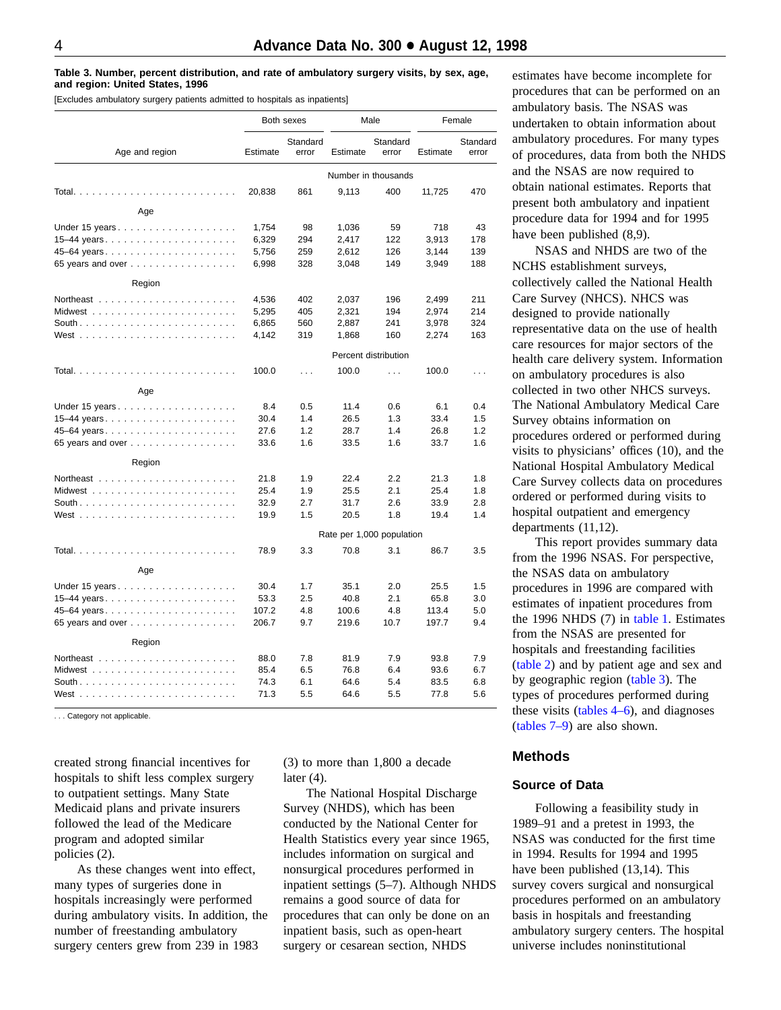#### <span id="page-3-0"></span>**Table 3. Number, percent distribution, and rate of ambulatory surgery visits, by sex, age, and region: United States, 1996**

[Excludes ambulatory surgery patients admitted to hospitals as inpatients]

| Both sexes                                            |          |                   |                           | Male                 | Female   |                   |  |
|-------------------------------------------------------|----------|-------------------|---------------------------|----------------------|----------|-------------------|--|
| Age and region                                        | Estimate | Standard<br>error | Estimate                  | Standard<br>error    | Estimate | Standard<br>error |  |
|                                                       |          |                   | Number in thousands       |                      |          |                   |  |
|                                                       | 20,838   | 861               | 9,113                     | 400                  | 11,725   | 470               |  |
| Age                                                   |          |                   |                           |                      |          |                   |  |
| Under 15 years                                        | 1,754    | 98                | 1,036                     | 59                   | 718      | 43                |  |
|                                                       | 6,329    | 294               | 2,417                     | 122                  | 3,913    | 178               |  |
|                                                       | 5,756    | 259               | 2,612                     | 126                  | 3,144    | 139               |  |
| 65 years and over                                     | 6,998    | 328               | 3,048                     | 149                  | 3,949    | 188               |  |
| Region                                                |          |                   |                           |                      |          |                   |  |
|                                                       | 4,536    | 402               | 2,037                     | 196                  | 2,499    | 211               |  |
|                                                       | 5,295    | 405               | 2,321                     | 194                  | 2,974    | 214               |  |
|                                                       | 6,865    | 560               | 2,887                     | 241                  | 3,978    | 324               |  |
|                                                       | 4,142    | 319               | 1,868                     | 160                  | 2,274    | 163               |  |
|                                                       |          |                   |                           | Percent distribution |          |                   |  |
| Total<br>dia analana analana a                        | 100.0    | $\mathbf{1}$      | 100.0                     | $\mathbf{1}$         | 100.0    | $\cdots$          |  |
| Age                                                   |          |                   |                           |                      |          |                   |  |
|                                                       | 8.4      | 0.5               | 11.4                      | 0.6                  | 6.1      | 0.4               |  |
|                                                       | 30.4     | 1.4               | 26.5                      | 1.3                  | 33.4     | 1.5               |  |
| 45-64 years                                           | 27.6     | 1.2               | 28.7                      | 1.4                  | 26.8     | 1.2               |  |
| 65 years and over                                     | 33.6     | 1.6               | 33.5                      | 1.6                  | 33.7     | 1.6               |  |
| Region                                                |          |                   |                           |                      |          |                   |  |
|                                                       | 21.8     | 1.9               | 22.4                      | 2.2                  | 21.3     | 1.8               |  |
|                                                       | 25.4     | 1.9               | 25.5                      | 2.1                  | 25.4     | 1.8               |  |
|                                                       | 32.9     | 2.7               | 31.7                      | 2.6                  | 33.9     | 2.8               |  |
|                                                       | 19.9     | 1.5               | 20.5                      | 1.8                  | 19.4     | 1.4               |  |
|                                                       |          |                   | Rate per 1,000 population |                      |          |                   |  |
|                                                       | 78.9     | 3.3               | 70.8                      | 3.1                  | 86.7     | 3.5               |  |
| Age                                                   |          |                   |                           |                      |          |                   |  |
|                                                       | 30.4     | 1.7               | 35.1                      | 2.0                  | 25.5     | 1.5               |  |
|                                                       | 53.3     | 2.5               | 40.8                      | 2.1                  | 65.8     | 3.0               |  |
| 45-64 years                                           | 107.2    | 4.8               | 100.6                     | 4.8                  | 113.4    | 5.0               |  |
| 65 years and over                                     | 206.7    | 9.7               | 219.6                     | 10.7                 | 197.7    | 9.4               |  |
| Region                                                |          |                   |                           |                      |          |                   |  |
| Northeast $\ldots \ldots \ldots \ldots \ldots \ldots$ | 88.0     | 7.8               | 81.9                      | 7.9                  | 93.8     | 7.9               |  |
|                                                       | 85.4     | 6.5               | 76.8                      | 6.4                  | 93.6     | 6.7               |  |
|                                                       | 74.3     | 6.1               | 64.6                      | 5.4                  | 83.5     | 6.8               |  |
|                                                       | 71.3     | 5.5               | 64.6                      | 5.5                  | 77.8     | 5.6               |  |

. . . Category not applicable.

created strong financial incentives for hospitals to shift less complex surgery to outpatient settings. Many State Medicaid plans and private insurers followed the lead of the Medicare program and adopted similar policies (2).

As these changes went into effect, many types of surgeries done in hospitals increasingly were performed during ambulatory visits. In addition, the number of freestanding ambulatory surgery centers grew from 239 in 1983

(3) to more than 1,800 a decade later  $(4)$ .

The National Hospital Discharge Survey (NHDS), which has been conducted by the National Center for Health Statistics every year since 1965, includes information on surgical and nonsurgical procedures performed in inpatient settings (5–7). Although NHDS remains a good source of data for procedures that can only be done on an inpatient basis, such as open-heart surgery or cesarean section, NHDS

estimates have become incomplete for procedures that can be performed on an ambulatory basis. The NSAS was undertaken to obtain information about ambulatory procedures. For many types of procedures, data from both the NHDS and the NSAS are now required to obtain national estimates. Reports that present both ambulatory and inpatient procedure data for 1994 and for 1995 have been published (8,9).

NSAS and NHDS are two of the NCHS establishment surveys, collectively called the National Health Care Survey (NHCS). NHCS was designed to provide nationally representative data on the use of health care resources for major sectors of the health care delivery system. Information on ambulatory procedures is also collected in two other NHCS surveys. The National Ambulatory Medical Care Survey obtains information on procedures ordered or performed during visits to physicians' offices (10), and the National Hospital Ambulatory Medical Care Survey collects data on procedures ordered or performed during visits to hospital outpatient and emergency departments (11,12).

This report provides summary data from the 1996 NSAS. For perspective, the NSAS data on ambulatory procedures in 1996 are compared with estimates of inpatient procedures from the 1996 NHDS (7) in [table 1. E](#page-1-0)stimates from the NSAS are presented for hospitals and freestanding facilities [\(table 2\) a](#page-1-0)nd by patient age and sex and by geographic region (table 3). The types of procedures performed during these visits  $(tables 4–6)$ , and diagnoses [\(tables 7–9\) a](#page-9-0)re also shown.

# **Methods**

#### **Source of Data**

Following a feasibility study in 1989–91 and a pretest in 1993, the NSAS was conducted for the first time in 1994. Results for 1994 and 1995 have been published (13,14). This survey covers surgical and nonsurgical procedures performed on an ambulatory basis in hospitals and freestanding ambulatory surgery centers. The hospital universe includes noninstitutional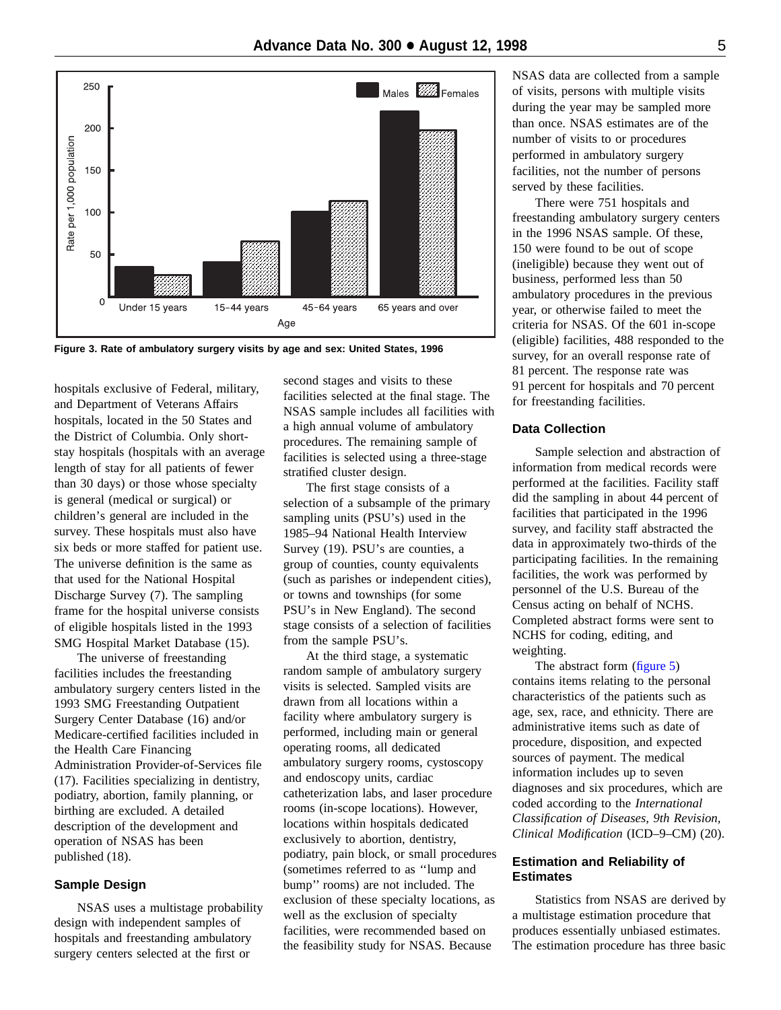<span id="page-4-0"></span>

**Figure 3. Rate of ambulatory surgery visits by age and sex: United States, 1996**

hospitals exclusive of Federal, military, and Department of Veterans Affairs hospitals, located in the 50 States and the District of Columbia. Only shortstay hospitals (hospitals with an average length of stay for all patients of fewer than 30 days) or those whose specialty is general (medical or surgical) or children's general are included in the survey. These hospitals must also have six beds or more staffed for patient use. The universe definition is the same as that used for the National Hospital Discharge Survey (7). The sampling frame for the hospital universe consists of eligible hospitals listed in the 1993 SMG Hospital Market Database (15).

The universe of freestanding facilities includes the freestanding ambulatory surgery centers listed in the 1993 SMG Freestanding Outpatient Surgery Center Database (16) and/or Medicare-certified facilities included in the Health Care Financing Administration Provider-of-Services file (17). Facilities specializing in dentistry, podiatry, abortion, family planning, or birthing are excluded. A detailed description of the development and operation of NSAS has been published (18).

### **Sample Design**

NSAS uses a multistage probability design with independent samples of hospitals and freestanding ambulatory surgery centers selected at the first or

second stages and visits to these facilities selected at the final stage. The NSAS sample includes all facilities with a high annual volume of ambulatory procedures. The remaining sample of facilities is selected using a three-stage stratified cluster design.

The first stage consists of a selection of a subsample of the primary sampling units (PSU's) used in the 1985–94 National Health Interview Survey (19). PSU's are counties, a group of counties, county equivalents (such as parishes or independent cities), or towns and townships (for some PSU's in New England). The second stage consists of a selection of facilities from the sample PSU's.

At the third stage, a systematic random sample of ambulatory surgery visits is selected. Sampled visits are drawn from all locations within a facility where ambulatory surgery is performed, including main or general operating rooms, all dedicated ambulatory surgery rooms, cystoscopy and endoscopy units, cardiac catheterization labs, and laser procedure rooms (in-scope locations). However, locations within hospitals dedicated exclusively to abortion, dentistry, podiatry, pain block, or small procedures (sometimes referred to as ''lump and bump'' rooms) are not included. The exclusion of these specialty locations, as well as the exclusion of specialty facilities, were recommended based on the feasibility study for NSAS. Because

NSAS data are collected from a sample of visits, persons with multiple visits during the year may be sampled more than once. NSAS estimates are of the number of visits to or procedures performed in ambulatory surgery facilities, not the number of persons served by these facilities.

There were 751 hospitals and freestanding ambulatory surgery centers in the 1996 NSAS sample. Of these, 150 were found to be out of scope (ineligible) because they went out of business, performed less than 50 ambulatory procedures in the previous year, or otherwise failed to meet the criteria for NSAS. Of the 601 in-scope (eligible) facilities, 488 responded to the survey, for an overall response rate of 81 percent. The response rate was 91 percent for hospitals and 70 percent for freestanding facilities.

# **Data Collection**

Sample selection and abstraction of information from medical records were performed at the facilities. Facility staff did the sampling in about 44 percent of facilities that participated in the 1996 survey, and facility staff abstracted the data in approximately two-thirds of the participating facilities. In the remaining facilities, the work was performed by personnel of the U.S. Bureau of the Census acting on behalf of NCHS. Completed abstract forms were sent to NCHS for coding, editing, and weighting.

The abstract for[m \(figure 5\)](#page-12-0) contains items relating to the personal characteristics of the patients such as age, sex, race, and ethnicity. There are administrative items such as date of procedure, disposition, and expected sources of payment. The medical information includes up to seven diagnoses and six procedures, which are coded according to the *International Classification of Diseases, 9th Revision, Clinical Modification* (ICD–9–CM) (20).

#### **Estimation and Reliability of Estimates**

Statistics from NSAS are derived by a multistage estimation procedure that produces essentially unbiased estimates. The estimation procedure has three basic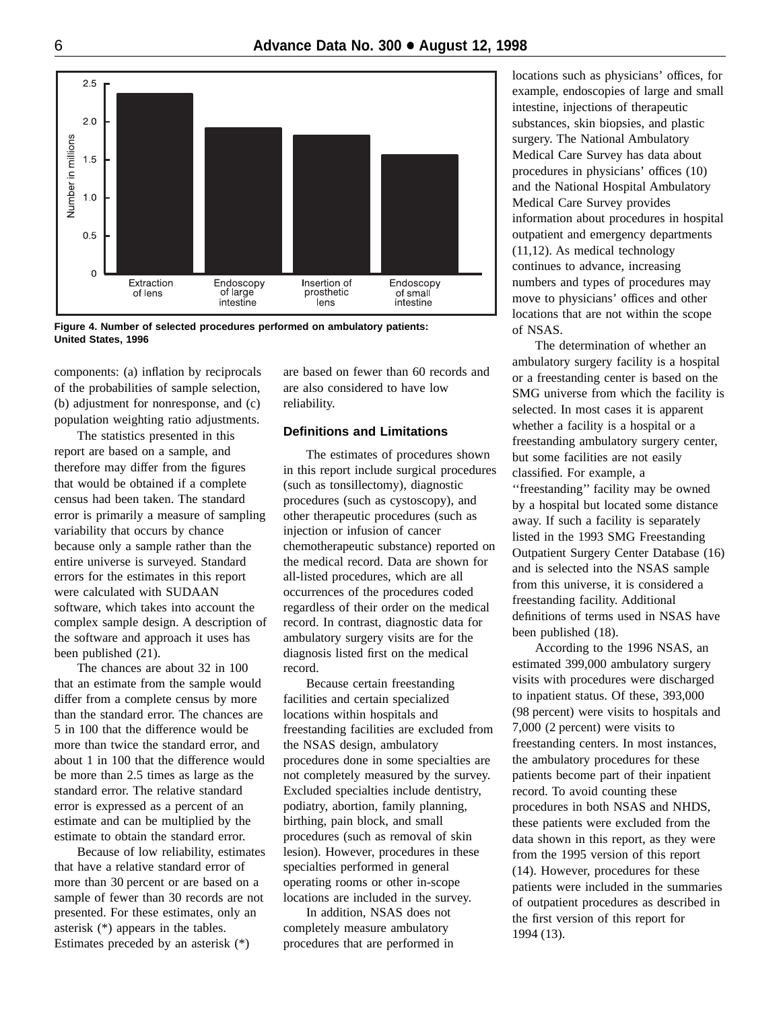<span id="page-5-0"></span>

**Figure 4. Number of selected procedures performed on ambulatory patients: United States, 1996**

components: (a) inflation by reciprocals of the probabilities of sample selection, (b) adjustment for nonresponse, and (c) population weighting ratio adjustments.

The statistics presented in this report are based on a sample, and therefore may differ from the figures that would be obtained if a complete census had been taken. The standard error is primarily a measure of sampling variability that occurs by chance because only a sample rather than the entire universe is surveyed. Standard errors for the estimates in this report were calculated with SUDAAN software, which takes into account the complex sample design. A description of the software and approach it uses has been published (21).

The chances are about 32 in 100 that an estimate from the sample would differ from a complete census by more than the standard error. The chances are 5 in 100 that the difference would be more than twice the standard error, and about 1 in 100 that the difference would be more than 2.5 times as large as the standard error. The relative standard error is expressed as a percent of an estimate and can be multiplied by the estimate to obtain the standard error.

Because of low reliability, estimates that have a relative standard error of more than 30 percent or are based on a sample of fewer than 30 records are not presented. For these estimates, only an asterisk (\*) appears in the tables. Estimates preceded by an asterisk (\*)

are based on fewer than 60 records and are also considered to have low reliability.

## **Definitions and Limitations**

The estimates of procedures shown in this report include surgical procedures (such as tonsillectomy), diagnostic procedures (such as cystoscopy), and other therapeutic procedures (such as injection or infusion of cancer chemotherapeutic substance) reported on the medical record. Data are shown for all-listed procedures, which are all occurrences of the procedures coded regardless of their order on the medical record. In contrast, diagnostic data for ambulatory surgery visits are for the diagnosis listed first on the medical record.

Because certain freestanding facilities and certain specialized locations within hospitals and freestanding facilities are excluded from the NSAS design, ambulatory procedures done in some specialties are not completely measured by the survey. Excluded specialties include dentistry, podiatry, abortion, family planning, birthing, pain block, and small procedures (such as removal of skin lesion). However, procedures in these specialties performed in general operating rooms or other in-scope locations are included in the survey.

In addition, NSAS does not completely measure ambulatory procedures that are performed in

locations such as physicians' offices, for example, endoscopies of large and small intestine, injections of therapeutic substances, skin biopsies, and plastic surgery. The National Ambulatory Medical Care Survey has data about procedures in physicians' offices (10) and the National Hospital Ambulatory Medical Care Survey provides information about procedures in hospital outpatient and emergency departments (11,12). As medical technology continues to advance, increasing numbers and types of procedures may move to physicians' offices and other locations that are not within the scope of NSAS.

The determination of whether an ambulatory surgery facility is a hospital or a freestanding center is based on the SMG universe from which the facility is selected. In most cases it is apparent whether a facility is a hospital or a freestanding ambulatory surgery center, but some facilities are not easily classified. For example, a ''freestanding'' facility may be owned by a hospital but located some distance away. If such a facility is separately listed in the 1993 SMG Freestanding Outpatient Surgery Center Database (16) and is selected into the NSAS sample from this universe, it is considered a freestanding facility. Additional definitions of terms used in NSAS have been published (18).

According to the 1996 NSAS, an estimated 399,000 ambulatory surgery visits with procedures were discharged to inpatient status. Of these, 393,000 (98 percent) were visits to hospitals and 7,000 (2 percent) were visits to freestanding centers. In most instances, the ambulatory procedures for these patients become part of their inpatient record. To avoid counting these procedures in both NSAS and NHDS, these patients were excluded from the data shown in this report, as they were from the 1995 version of this report (14). However, procedures for these patients were included in the summaries of outpatient procedures as described in the first version of this report for 1994 (13).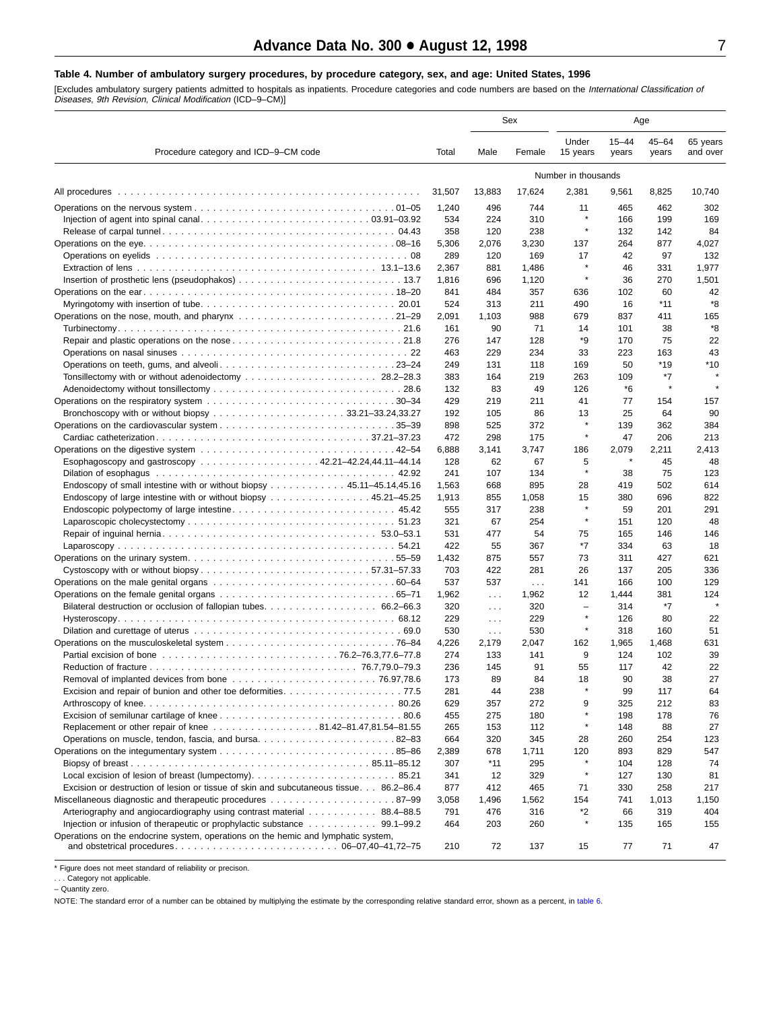#### <span id="page-6-0"></span>**Table 4. Number of ambulatory surgery procedures, by procedure category, sex, and age: United States, 1996**

[Excludes ambulatory surgery patients admitted to hospitals as inpatients. Procedure categories and code numbers are based on the *International Classification of*<br>*Diseases, 9th Revision, Clinical Modification* (ICD–9–CM)

|                                                                                        |              |            | Sex          |                          |                       | Age                |                      |
|----------------------------------------------------------------------------------------|--------------|------------|--------------|--------------------------|-----------------------|--------------------|----------------------|
| Procedure category and ICD-9-CM code                                                   |              | Male       | Female       | Under<br>15 years        | $15 - 44$<br>years    | $45 - 64$<br>years | 65 years<br>and over |
|                                                                                        |              |            |              | Number in thousands      |                       |                    |                      |
| All procedures                                                                         | 31,507       | 13,883     | 17,624       | 2,381                    | 9,561                 | 8,825              | 10,740               |
|                                                                                        | 1,240        | 496        | 744          | 11                       | 465                   | 462                | 302                  |
|                                                                                        | 534          | 224        | 310          |                          | 166                   | 199                | 169                  |
|                                                                                        | 358          | 120        | 238          | $\star$                  | 132                   | 142                | 84                   |
|                                                                                        | 5,306        | 2,076      | 3,230        | 137                      | 264                   | 877                | 4,027                |
|                                                                                        | 289          | 120        | 169          | 17                       | 42                    | 97                 | 132                  |
|                                                                                        | 2,367        | 881        | 1,486        | $\star$                  | 46                    | 331                | 1,977                |
|                                                                                        | 1,816        | 696        | 1,120        | $\star$                  | 36                    | 270                | 1,501                |
|                                                                                        | 841          | 484        | 357          | 636                      | 102                   | 60                 | 42                   |
|                                                                                        | 524          | 313        | 211          | 490                      | 16                    | *11                | *8                   |
| Operations on the nose, mouth, and pharynx 21–29                                       | 2,091        | 1,103      | 988          | 679                      | 837                   | 411                | 165                  |
|                                                                                        | 161          | 90         | 71           | 14                       | 101                   | 38                 | *8                   |
|                                                                                        | 276          | 147        | 128          | *9                       | 170                   | 75                 | 22                   |
|                                                                                        | 463          | 229        | 234          | 33                       | 223                   | 163                | 43                   |
| Operations on teeth, gums, and alveoli23–24                                            | 249          | 131        | 118          | 169                      | 50                    | *19                | $*10$                |
|                                                                                        | 383          | 164        | 219          | 263                      | 109                   | *7                 |                      |
|                                                                                        | 132          | 83         | 49           | 126                      | *6                    | $\star$            |                      |
|                                                                                        | 429          | 219        | 211          | 41                       | 77                    | 154                | 157                  |
| Bronchoscopy with or without biopsy 33.21–33.24,33.27                                  | 192          | 105        | 86           | 13<br>$\star$            | 25                    | 64                 | 90                   |
|                                                                                        | 898          | 525        | 372          | ×                        | 139                   | 362                | 384                  |
|                                                                                        | 472          | 298        | 175          |                          | 47                    | 206                | 213                  |
|                                                                                        | 6,888        | 3,141      | 3,747        | 186                      | 2,079<br>$\pmb{\ast}$ | 2,211              | 2,413                |
| Esophagoscopy and gastroscopy 42.21-42.24,44.11-44.14                                  | 128          | 62         | 67           | 5<br>$\star$             |                       | 45                 | 48                   |
|                                                                                        | 241          | 107        | 134          |                          | 38                    | 75                 | 123                  |
| Endoscopy of small intestine with or without biopsy 45.11–45.14,45.16                  | 1,563        | 668<br>855 | 895          | 28<br>15                 | 419<br>380            | 502<br>696         | 614<br>822           |
| Endoscopy of large intestine with or without biopsy 45.21–45.25                        | 1,913<br>555 | 317        | 1,058<br>238 | $\star$                  | 59                    | 201                | 291                  |
|                                                                                        | 321          | 67         | 254          | $\star$                  | 151                   | 120                | 48                   |
|                                                                                        | 531          | 477        | 54           | 75                       | 165                   | 146                | 146                  |
|                                                                                        | 422          | 55         | 367          | $*7$                     | 334                   | 63                 | 18                   |
|                                                                                        | 1,432        | 875        | 557          | 73                       | 311                   | 427                | 621                  |
|                                                                                        | 703          | 422        | 281          | 26                       | 137                   | 205                | 336                  |
|                                                                                        | 537          | 537        | $\sim 100$   | 141                      | 166                   | 100                | 129                  |
|                                                                                        | 1,962        | $\sim 100$ | 1,962        | 12                       | 1,444                 | 381                | 124                  |
| Bilateral destruction or occlusion of fallopian tubes. 66.2–66.3                       | 320          | $\cdots$   | 320          | $\overline{\phantom{a}}$ | 314                   | *7                 |                      |
|                                                                                        | 229          | $\cdots$   | 229          | $\star$                  | 126                   | 80                 | 22                   |
|                                                                                        | 530          | $\cdots$   | 530          | $\star$                  | 318                   | 160                | 51                   |
|                                                                                        | 4,226        | 2,179      | 2,047        | 162                      | 1,965                 | 1,468              | 631                  |
|                                                                                        | 274          | 133        | 141          | 9                        | 124                   | 102                | 39                   |
|                                                                                        | 236          | 145        | 91           | 55                       | 117                   | 42                 | 22                   |
|                                                                                        | 173          | 89         | 84           | 18                       | 90                    | 38                 | 27                   |
|                                                                                        | 281          | 44         | 238          |                          | 99                    | 117                | 64                   |
|                                                                                        | 629          | 357        | 272          | 9                        | 325                   | 212                | 83                   |
|                                                                                        | 455          | 275        | 180          | $\star$                  | 198                   | 178                | 76                   |
| Replacement or other repair of knee 81.42-81.47,81.54-81.55                            | 265          | 153        | 112          | $\star$                  | 148                   | 88                 | 27                   |
| Operations on muscle, tendon, fascia, and bursa82–83                                   | 664          | 320        | 345          | 28                       | 260                   | 254                | 123                  |
|                                                                                        | 2,389        | 678        | 1,711        | 120                      | 893                   | 829                | 547                  |
|                                                                                        | 307          | $*11$      | 295          | $\star$                  | 104                   | 128                | 74                   |
|                                                                                        | 341          | 12         | 329          | $\star$                  | 127                   | 130                | 81                   |
| Excision or destruction of lesion or tissue of skin and subcutaneous tissue. 86.2–86.4 | 877          | 412        | 465          | 71                       | 330                   | 258                | 217                  |
|                                                                                        | 3,058        | 1,496      | 1,562        | 154                      | 741                   | 1,013              | 1,150                |
| Arteriography and angiocardiography using contrast material 88.4–88.5                  | 791          | 476        | 316          | *2                       | 66                    | 319                | 404                  |
|                                                                                        | 464          | 203        | 260          | $\star$                  | 135                   | 165                | 155                  |
| Operations on the endocrine system, operations on the hemic and lymphatic system,      | 210          | 72         | 137          | 15                       | 77                    | 71                 | 47                   |
|                                                                                        |              |            |              |                          |                       |                    |                      |

\* Figure does not meet standard of reliability or precison.

– Quantity zero.

NOTE: The standard error of a number can be obtained by multiplying the estimate by the corresponding relative standard error, shown as a percent, in [table 6.](#page-8-0)

<sup>. . .</sup> Category not applicable.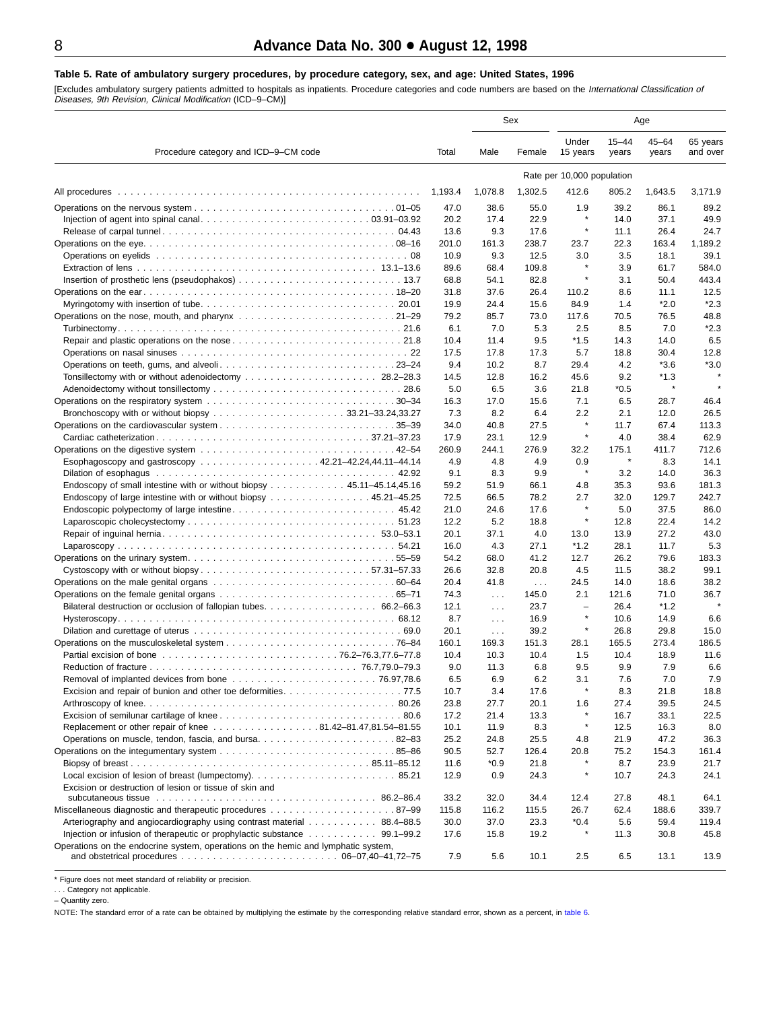#### <span id="page-7-0"></span>**Table 5. Rate of ambulatory surgery procedures, by procedure category, sex, and age: United States, 1996**

[Excludes ambulatory surgery patients admitted to hospitals as inpatients. Procedure categories and code numbers are based on the *International Classification of*<br>*Diseases, 9th Revision, Clinical Modification* (ICD–9–CM)

|                                                                                                                                                                                                                  |              |               | Sex          |                            |                    | Age                |                      |
|------------------------------------------------------------------------------------------------------------------------------------------------------------------------------------------------------------------|--------------|---------------|--------------|----------------------------|--------------------|--------------------|----------------------|
| Procedure category and ICD-9-CM code                                                                                                                                                                             | Total        | Male          | Female       | Under<br>15 years          | $15 - 44$<br>years | $45 - 64$<br>years | 65 years<br>and over |
|                                                                                                                                                                                                                  |              |               |              | Rate per 10,000 population |                    |                    |                      |
| All procedures                                                                                                                                                                                                   | 1,193.4      | 1,078.8       | 1,302.5      | 412.6                      | 805.2              | 1,643.5            | 3,171.9              |
|                                                                                                                                                                                                                  | 47.0         | 38.6          | 55.0         | 1.9                        | 39.2               | 86.1               | 89.2                 |
|                                                                                                                                                                                                                  | 20.2         | 17.4          | 22.9         | $\star$                    | 14.0               | 37.1               | 49.9                 |
|                                                                                                                                                                                                                  | 13.6         | 9.3           | 17.6         | $\star$                    | 11.1               | 26.4               | 24.7                 |
|                                                                                                                                                                                                                  | 201.0        | 161.3         | 238.7        | 23.7                       | 22.3               | 163.4              | 1,189.2              |
|                                                                                                                                                                                                                  | 10.9         | 9.3           | 12.5         | 3.0                        | 3.5                | 18.1               | 39.1                 |
|                                                                                                                                                                                                                  | 89.6         | 68.4          | 109.8        | $\star$                    | 3.9                | 61.7               | 584.0                |
|                                                                                                                                                                                                                  | 68.8         | 54.1          | 82.8         | $\star$                    | 3.1                | 50.4               | 443.4                |
|                                                                                                                                                                                                                  | 31.8         | 37.6          | 26.4         | 110.2                      | 8.6                | 11.1               | 12.5                 |
|                                                                                                                                                                                                                  | 19.9         | 24.4          | 15.6         | 84.9                       | 1.4                | $*2.0$             | $*2.3$               |
|                                                                                                                                                                                                                  | 79.2         | 85.7          | 73.0         | 117.6                      | 70.5               | 76.5               | 48.8                 |
|                                                                                                                                                                                                                  | 6.1          | 7.0           | 5.3          | 2.5                        | 8.5                | 7.0                | $*2.3$               |
|                                                                                                                                                                                                                  | 10.4         | 11.4          | 9.5          | *1.5                       | 14.3               | 14.0               | 6.5                  |
|                                                                                                                                                                                                                  | 17.5         | 17.8          | 17.3         | 5.7                        | 18.8               | 30.4               | 12.8                 |
| Operations on teeth, gums, and alveoli23–24                                                                                                                                                                      | 9.4          | 10.2          | 8.7          | 29.4                       | 4.2                | $*3.6$             | $*3.0$               |
|                                                                                                                                                                                                                  | 14.5         | 12.8          | 16.2         | 45.6                       | 9.2                | $*1.3$             |                      |
|                                                                                                                                                                                                                  | 5.0          | 6.5           | 3.6          | 21.8                       | $*0.5$             | $\star$            |                      |
| Operations on the respiratory system 30–34                                                                                                                                                                       | 16.3         | 17.0          | 15.6         | 7.1                        | 6.5                | 28.7               | 46.4                 |
|                                                                                                                                                                                                                  | 7.3          | 8.2           | 6.4          | 2.2                        | 2.1                | 12.0               | 26.5                 |
|                                                                                                                                                                                                                  | 34.0         | 40.8          | 27.5         | $\star$                    | 11.7               | 67.4               | 113.3                |
|                                                                                                                                                                                                                  | 17.9         | 23.1          | 12.9         | $\star$                    | 4.0                | 38.4               | 62.9                 |
|                                                                                                                                                                                                                  | 260.9        | 244.1         | 276.9        | 32.2                       | 175.1              | 411.7              | 712.6                |
| Esophagoscopy and gastroscopy 42.21–42.24,44.11–44.14                                                                                                                                                            | 4.9          | 4.8           | 4.9          | 0.9<br>$\star$             | $\pmb{\ast}$       | 8.3                | 14.1                 |
|                                                                                                                                                                                                                  | 9.1          | 8.3           | 9.9          |                            | 3.2                | 14.0               | 36.3                 |
| Endoscopy of small intestine with or without biopsy 45.11–45.14,45.16                                                                                                                                            | 59.2         | 51.9          | 66.1         | 4.8                        | 35.3               | 93.6               | 181.3                |
| Endoscopy of large intestine with or without biopsy 45.21–45.25                                                                                                                                                  | 72.5         | 66.5          | 78.2         | 2.7<br>$\star$             | 32.0               | 129.7              | 242.7                |
| Endoscopic polypectomy of large intestine45.42                                                                                                                                                                   | 21.0         | 24.6          | 17.6         | $\star$                    | 5.0                | 37.5               | 86.0                 |
|                                                                                                                                                                                                                  | 12.2         | 5.2           | 18.8         |                            | 12.8               | 22.4               | 14.2                 |
|                                                                                                                                                                                                                  | 20.1         | 37.1          | 4.0          | 13.0                       | 13.9               | 27.2               | 43.0                 |
|                                                                                                                                                                                                                  | 16.0<br>54.2 | 4.3<br>68.0   | 27.1         | $*1.2$<br>12.7             | 28.1<br>26.2       | 11.7<br>79.6       | 5.3<br>183.3         |
| Operations on the urinary system55–59                                                                                                                                                                            | 26.6         | 32.8          | 41.2<br>20.8 | 4.5                        | 11.5               | 38.2               | 99.1                 |
|                                                                                                                                                                                                                  | 20.4         | 41.8          | $\sim 100$   | 24.5                       | 14.0               | 18.6               | 38.2                 |
|                                                                                                                                                                                                                  | 74.3         | $\ldots$      | 145.0        | 2.1                        | 121.6              | 71.0               | 36.7                 |
|                                                                                                                                                                                                                  | 12.1         | $\sim 100$    | 23.7         | $\overline{\phantom{0}}$   | 26.4               | *1.2               |                      |
|                                                                                                                                                                                                                  | 8.7          | $\sim 100$    | 16.9         | $\star$                    | 10.6               | 14.9               | 6.6                  |
|                                                                                                                                                                                                                  | 20.1         | $\sim$ $\sim$ | 39.2         | $\star$                    | 26.8               | 29.8               | 15.0                 |
|                                                                                                                                                                                                                  | 160.1        | 169.3         | 151.3        | 28.1                       | 165.5              | 273.4              | 186.5                |
|                                                                                                                                                                                                                  | 10.4         | 10.3          | 10.4         | 1.5                        | 10.4               | 18.9               | 11.6                 |
|                                                                                                                                                                                                                  | 9.0          | 11.3          | 6.8          | 9.5                        | 9.9                | 7.9                | 6.6                  |
|                                                                                                                                                                                                                  | 6.5          | 6.9           | 6.2          | 3.1                        | 7.6                | 7.0                | 7.9                  |
|                                                                                                                                                                                                                  | 10.7         | 3.4           | 17.6         | $\star$                    | 8.3                | 21.8               | 18.8                 |
|                                                                                                                                                                                                                  | 23.8         | 27.7          | 20.1         | 1.6                        | 27.4               | 39.5               | 24.5                 |
|                                                                                                                                                                                                                  | 17.2         | 21.4          | 13.3         | $\star$                    | 16.7               | 33.1               | 22.5                 |
| Replacement or other repair of knee 81.42-81.47,81.54-81.55                                                                                                                                                      | 10.1         | 11.9          | 8.3          | $\star$                    | 12.5               | 16.3               | 8.0                  |
| Operations on muscle, tendon, fascia, and bursa82–83                                                                                                                                                             | 25.2         | 24.8          | 25.5         | 4.8                        | 21.9               | 47.2               | 36.3                 |
|                                                                                                                                                                                                                  | 90.5         | 52.7          | 126.4        | 20.8                       | 75.2               | 154.3              | 161.4                |
|                                                                                                                                                                                                                  | 11.6         | $*0.9$        | 21.8         | $\star$                    | 8.7                | 23.9               | 21.7                 |
|                                                                                                                                                                                                                  | 12.9         | 0.9           | 24.3         | $\star$                    | 10.7               | 24.3               | 24.1                 |
| Excision or destruction of lesion or tissue of skin and                                                                                                                                                          |              |               |              |                            |                    |                    |                      |
|                                                                                                                                                                                                                  | 33.2         | 32.0          | 34.4         | 12.4                       | 27.8               | 48.1               | 64.1                 |
|                                                                                                                                                                                                                  | 115.8        | 116.2         | 115.5        | 26.7                       | 62.4               | 188.6              | 339.7                |
| Arteriography and angiocardiography using contrast material 88.4–88.5                                                                                                                                            | 30.0         | 37.0          | 23.3         | $*0.4$<br>×                | 5.6                | 59.4               | 119.4                |
|                                                                                                                                                                                                                  | 17.6         | 15.8          | 19.2         |                            | 11.3               | 30.8               | 45.8                 |
| Operations on the endocrine system, operations on the hemic and lymphatic system,<br>and obstetrical procedures $\ldots \ldots \ldots \ldots \ldots \ldots \ldots \ldots \ldots \ldots \ldots$ 06-07,40-41,72-75 | 7.9          | 5.6           | 10.1         | 2.5                        | 6.5                | 13.1               | 13.9                 |

\* Figure does not meet standard of reliability or precision.<br>. . . Category not applicable.

– Quantity zero.

NOTE: The standard error of a rate can be obtained by multiplying the estimate by the corresponding relative standard error, shown as a percent, in [table 6.](#page-8-0)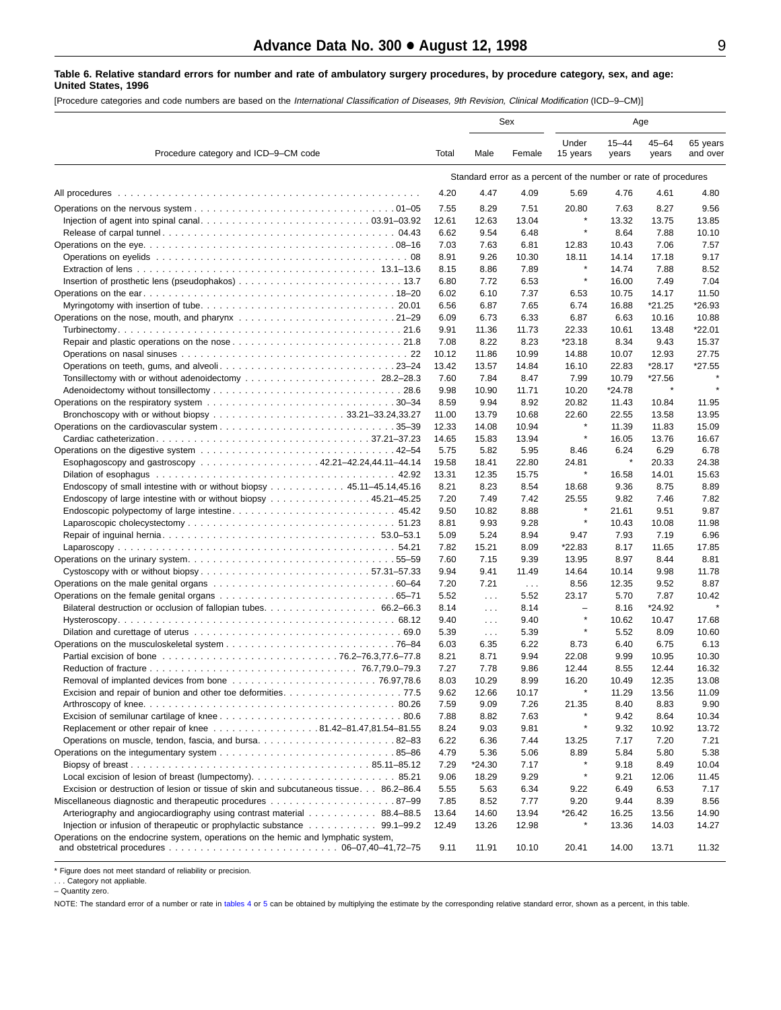#### <span id="page-8-0"></span>**Table 6. Relative standard errors for number and rate of ambulatory surgery procedures, by procedure category, sex, and age: United States, 1996**

[Procedure categories and code numbers are based on the International Classification of Diseases, 9th Revision, Clinical Modification (ICD–9–CM)]

|                                                                                                                                    |              |                         | Sex           |                                                                 |                    | Age                |                      |  |  |
|------------------------------------------------------------------------------------------------------------------------------------|--------------|-------------------------|---------------|-----------------------------------------------------------------|--------------------|--------------------|----------------------|--|--|
| Procedure category and ICD-9-CM code                                                                                               | Total        | Male                    | Female        | Under<br>15 years                                               | $15 - 44$<br>years | $45 - 64$<br>years | 65 years<br>and over |  |  |
|                                                                                                                                    |              |                         |               | Standard error as a percent of the number or rate of procedures |                    |                    |                      |  |  |
| All procedures                                                                                                                     | 4.20         | 4.47                    | 4.09          | 5.69                                                            | 4.76               | 4.61               | 4.80                 |  |  |
|                                                                                                                                    | 7.55         | 8.29                    | 7.51          | 20.80                                                           | 7.63               | 8.27               | 9.56                 |  |  |
|                                                                                                                                    | 12.61        | 12.63                   | 13.04         | $\pmb{\ast}$                                                    | 13.32              | 13.75              | 13.85                |  |  |
|                                                                                                                                    | 6.62         | 9.54                    | 6.48          | $\pmb{\ast}$                                                    | 8.64               | 7.88               | 10.10                |  |  |
|                                                                                                                                    | 7.03         | 7.63                    | 6.81          | 12.83                                                           | 10.43              | 7.06               | 7.57                 |  |  |
|                                                                                                                                    | 8.91         | 9.26                    | 10.30         | 18.11                                                           | 14.14              | 17.18              | 9.17                 |  |  |
|                                                                                                                                    | 8.15         | 8.86                    | 7.89          | $\pmb{\ast}$                                                    | 14.74              | 7.88               | 8.52                 |  |  |
|                                                                                                                                    | 6.80         | 7.72                    | 6.53          | $\pmb{\ast}$                                                    | 16.00              | 7.49               | 7.04                 |  |  |
|                                                                                                                                    | 6.02         | 6.10                    | 7.37          | 6.53                                                            | 10.75              | 14.17              | 11.50                |  |  |
|                                                                                                                                    | 6.56         | 6.87                    | 7.65          | 6.74                                                            | 16.88              | *21.25             | *26.93               |  |  |
|                                                                                                                                    | 6.09         | 6.73                    | 6.33          | 6.87                                                            | 6.63               | 10.16              | 10.88                |  |  |
|                                                                                                                                    | 9.91         | 11.36                   | 11.73         | 22.33                                                           | 10.61              | 13.48              | *22.01               |  |  |
|                                                                                                                                    | 7.08         | 8.22                    | 8.23          | *23.18                                                          | 8.34               | 9.43               | 15.37                |  |  |
|                                                                                                                                    | 10.12        | 11.86                   | 10.99         | 14.88                                                           | 10.07              | 12.93              | 27.75                |  |  |
| Operations on teeth, gums, and alveoli23–24                                                                                        | 13.42        | 13.57                   | 14.84         | 16.10<br>7.99                                                   | 22.83<br>10.79     | *28.17<br>*27.56   | *27.55               |  |  |
|                                                                                                                                    | 7.60<br>9.98 | 7.84                    | 8.47<br>11.71 | 10.20                                                           | *24.78             | ×                  |                      |  |  |
|                                                                                                                                    | 8.59         | 10.90<br>9.94           | 8.92          | 20.82                                                           | 11.43              | 10.84              | 11.95                |  |  |
|                                                                                                                                    | 11.00        | 13.79                   | 10.68         | 22.60                                                           | 22.55              | 13.58              | 13.95                |  |  |
|                                                                                                                                    | 12.33        | 14.08                   | 10.94         |                                                                 | 11.39              | 11.83              | 15.09                |  |  |
|                                                                                                                                    | 14.65        | 15.83                   | 13.94         | $\pmb{\ast}$                                                    | 16.05              | 13.76              | 16.67                |  |  |
|                                                                                                                                    | 5.75         | 5.82                    | 5.95          | 8.46                                                            | 6.24               | 6.29               | 6.78                 |  |  |
| Esophagoscopy and gastroscopy 42.21–42.24,44.11–44.14                                                                              | 19.58        | 18.41                   | 22.80         | 24.81                                                           | $\pmb{\ast}$       | 20.33              | 24.38                |  |  |
|                                                                                                                                    | 13.31        | 12.35                   | 15.75         | $\pmb{\ast}$                                                    | 16.58              | 14.01              | 15.63                |  |  |
| Endoscopy of small intestine with or without biopsy 45.11–45.14,45.16                                                              | 8.21         | 8.23                    | 8.54          | 18.68                                                           | 9.36               | 8.75               | 8.89                 |  |  |
| Endoscopy of large intestine with or without biopsy 45.21–45.25                                                                    | 7.20         | 7.49                    | 7.42          | 25.55                                                           | 9.82               | 7.46               | 7.82                 |  |  |
|                                                                                                                                    | 9.50         | 10.82                   | 8.88          | $\pmb{\ast}$                                                    | 21.61              | 9.51               | 9.87                 |  |  |
|                                                                                                                                    | 8.81         | 9.93                    | 9.28          | $\pmb{\ast}$                                                    | 10.43              | 10.08              | 11.98                |  |  |
|                                                                                                                                    | 5.09         | 5.24                    | 8.94          | 9.47                                                            | 7.93               | 7.19               | 6.96                 |  |  |
|                                                                                                                                    | 7.82         | 15.21                   | 8.09          | *22.83                                                          | 8.17               | 11.65              | 17.85                |  |  |
|                                                                                                                                    | 7.60         | 7.15                    | 9.39          | 13.95                                                           | 8.97               | 8.44               | 8.81                 |  |  |
|                                                                                                                                    | 9.94         | 9.41                    | 11.49         | 14.64                                                           | 10.14              | 9.98               | 11.78                |  |  |
|                                                                                                                                    | 7.20         | 7.21                    | $\ldots$      | 8.56                                                            | 12.35              | 9.52               | 8.87                 |  |  |
|                                                                                                                                    | 5.52         | $\sim 100$              | 5.52          | 23.17                                                           | 5.70               | 7.87               | 10.42<br>$\star$     |  |  |
| Bilateral destruction or occlusion of fallopian tubes. 66.2–66.3                                                                   | 8.14<br>9.40 | $\sim 10$ .             | 8.14<br>9.40  | $\overline{\phantom{0}}$<br>$\star$                             | 8.16<br>10.62      | *24.92<br>10.47    | 17.68                |  |  |
|                                                                                                                                    | 5.39         | $\cdots$<br>$\sim 10$ . | 5.39          | $\star$                                                         | 5.52               | 8.09               | 10.60                |  |  |
|                                                                                                                                    | 6.03         | 6.35                    | 6.22          | 8.73                                                            | 6.40               | 6.75               | 6.13                 |  |  |
|                                                                                                                                    | 8.21         | 8.71                    | 9.94          | 22.08                                                           | 9.99               | 10.95              | 10.30                |  |  |
|                                                                                                                                    | 7.27         | 7.78                    | 9.86          | 12.44                                                           | 8.55               | 12.44              | 16.32                |  |  |
|                                                                                                                                    | 8.03         | 10.29                   | 8.99          | 16.20                                                           | 10.49              | 12.35              | 13.08                |  |  |
|                                                                                                                                    | 9.62         | 12.66                   | 10.17         | $\pmb{\ast}$                                                    | 11.29              | 13.56              | 11.09                |  |  |
|                                                                                                                                    | 7.59         | 9.09                    | 7.26          | 21.35                                                           | 8.40               | 8.83               | 9.90                 |  |  |
|                                                                                                                                    | 7.88         | 8.82                    | 7.63          |                                                                 | 9.42               | 8.64               | 10.34                |  |  |
| Replacement or other repair of knee 81.42-81.47,81.54-81.55                                                                        | 8.24         | 9.03                    | 9.81          | $\pmb{\ast}$                                                    | 9.32               | 10.92              | 13.72                |  |  |
| Operations on muscle, tendon, fascia, and bursa82-83                                                                               | 6.22         | 6.36                    | 7.44          | 13.25                                                           | 7.17               | 7.20               | 7.21                 |  |  |
|                                                                                                                                    | 4.79         | 5.36                    | 5.06          | 8.89                                                            | 5.84               | 5.80               | 5.38                 |  |  |
|                                                                                                                                    | 7.29         | *24.30                  | 7.17          |                                                                 | 9.18               | 8.49               | 10.04                |  |  |
|                                                                                                                                    | 9.06         | 18.29                   | 9.29          | $\pmb{\ast}$                                                    | 9.21               | 12.06              | 11.45                |  |  |
| Excision or destruction of lesion or tissue of skin and subcutaneous tissue. 86.2–86.4                                             | 5.55         | 5.63                    | 6.34          | 9.22                                                            | 6.49               | 6.53               | 7.17                 |  |  |
|                                                                                                                                    | 7.85         | 8.52                    | 7.77          | 9.20                                                            | 9.44               | 8.39               | 8.56                 |  |  |
| Arteriography and angiocardiography using contrast material 88.4–88.5                                                              | 13.64        | 14.60                   | 13.94         | *26.42                                                          | 16.25              | 13.56              | 14.90                |  |  |
| Operations on the endocrine system, operations on the hemic and lymphatic system,                                                  | 12.49        | 13.26                   | 12.98         |                                                                 | 13.36              | 14.03              | 14.27                |  |  |
| and obstetrical procedures $\ldots \ldots \ldots \ldots \ldots \ldots \ldots \ldots \ldots \ldots \ldots \ldots 06-07,40-41,72-75$ | 9.11         | 11.91                   | 10.10         | 20.41                                                           | 14.00              | 13.71              | 11.32                |  |  |

\* Figure does not meet standard of reliability or precision.

. . . Category not appliable.

– Quantity zero.

NOTE: The standard error of a number or rate in [tables 4](#page-6-0) or 5 [can](#page-7-0) be obtained by multiplying the estimate by the corresponding relative standard error, shown as a percent, in this table.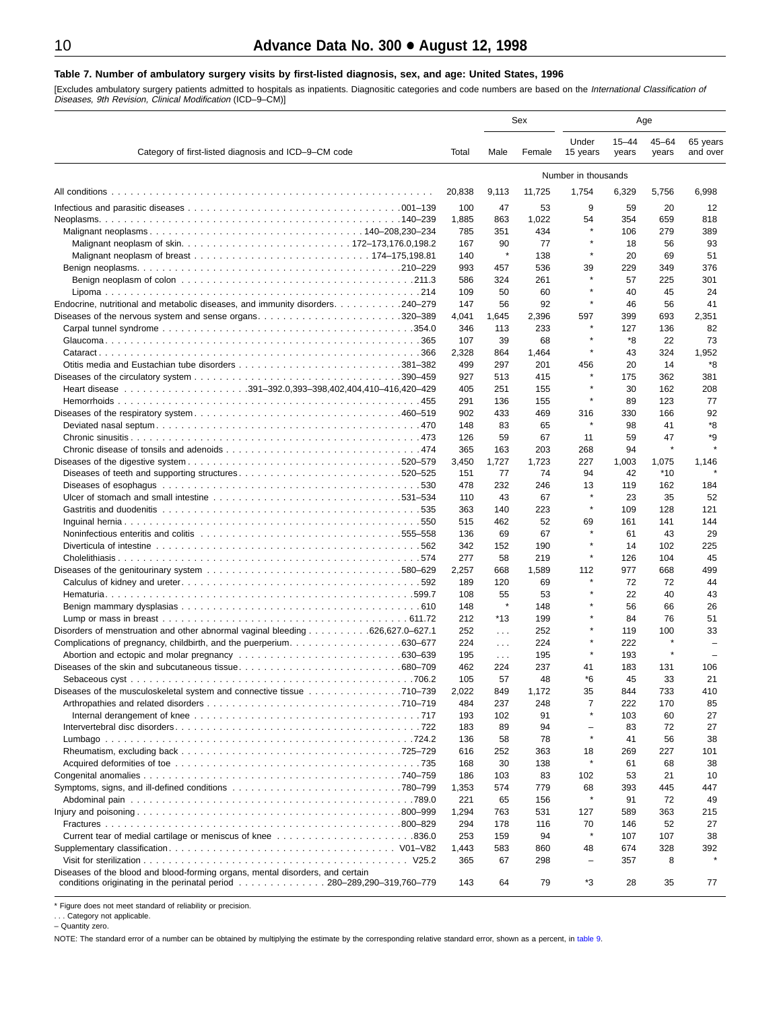#### <span id="page-9-0"></span>**Table 7. Number of ambulatory surgery visits by first-listed diagnosis, sex, and age: United States, 1996**

[Excludes ambulatory surgery patients admitted to hospitals as inpatients. Diagnositic categories and code numbers are based on the *International Classification of*<br>*Diseases, 9th Revision, Clinical Modification* (ICD–9–C

|                                                                                                                                                         |              |               | Sex          |                          | Age                |                    |                          |
|---------------------------------------------------------------------------------------------------------------------------------------------------------|--------------|---------------|--------------|--------------------------|--------------------|--------------------|--------------------------|
| Category of first-listed diagnosis and ICD-9-CM code                                                                                                    | Total        | Male          | Female       | Under<br>15 years        | $15 - 44$<br>years | $45 - 64$<br>years | 65 years<br>and over     |
|                                                                                                                                                         |              |               |              | Number in thousands      |                    |                    |                          |
|                                                                                                                                                         | 20,838       | 9,113         | 11,725       | 1,754                    | 6,329              | 5,756              | 6,998                    |
|                                                                                                                                                         | 100          | 47            | 53           | 9                        | 59                 | 20                 | 12                       |
|                                                                                                                                                         | 1,885        | 863           | 1,022        | 54                       | 354                | 659                | 818                      |
|                                                                                                                                                         | 785          | 351           | 434          |                          | 106                | 279                | 389                      |
|                                                                                                                                                         | 167          | 90            | 77           |                          | 18                 | 56                 | 93                       |
|                                                                                                                                                         | 140          | $\star$       | 138          | $\star$                  | 20                 | 69                 | 51                       |
|                                                                                                                                                         | 993          | 457           | 536          | 39                       | 229                | 349                | 376                      |
|                                                                                                                                                         | 586          | 324           | 261          |                          | 57                 | 225                | 301                      |
| Endocrine, nutritional and metabolic diseases, and immunity disorders. 240–279                                                                          | 109<br>147   | 50<br>56      | 60<br>92     |                          | 40<br>46           | 45<br>56           | 24<br>41                 |
|                                                                                                                                                         | 4,041        | 1,645         | 2,396        | 597                      | 399                | 693                | 2,351                    |
|                                                                                                                                                         | 346          | 113           | 233          |                          | 127                | 136                | 82                       |
|                                                                                                                                                         | 107          | 39            | 68           |                          | *8                 | 22                 | 73                       |
|                                                                                                                                                         | 2,328        | 864           | 1,464        | $\star$                  | 43                 | 324                | 1,952                    |
|                                                                                                                                                         | 499          | 297           | 201          | 456                      | 20                 | 14                 | *8                       |
|                                                                                                                                                         | 927          | 513           | 415          |                          | 175                | 362                | 381                      |
| $\ldots \ldots \ldots \ldots \ldots \ldots \ldots \ldots 391 - 392.0,393 - 398,402,404,410 - 416,420 - 429$<br>Heart disease                            | 405          | 251           | 155          |                          | 30                 | 162                | 208                      |
|                                                                                                                                                         | 291          | 136           | 155          | $\star$                  | 89                 | 123                | 77                       |
|                                                                                                                                                         | 902          | 433           | 469          | 316                      | 330                | 166                | 92                       |
|                                                                                                                                                         | 148          | 83            | 65           | $\star$                  | 98                 | 41                 | *8                       |
|                                                                                                                                                         | 126          | 59            | 67           | 11                       | 59<br>94           | 47<br>$\star$      | *9                       |
|                                                                                                                                                         | 365<br>3,450 | 163<br>1,727  | 203<br>1,723 | 268<br>227               | 1,003              | 1,075              | 1,146                    |
| Diseases of teeth and supporting structures520–525                                                                                                      | 151          | 77            | 74           | 94                       | 42                 | $*10$              |                          |
|                                                                                                                                                         | 478          | 232           | 246          | 13                       | 119                | 162                | 184                      |
|                                                                                                                                                         | 110          | 43            | 67           | $\star$                  | 23                 | 35                 | 52                       |
|                                                                                                                                                         | 363          | 140           | 223          |                          | 109                | 128                | 121                      |
|                                                                                                                                                         | 515          | 462           | 52           | 69                       | 161                | 141                | 144                      |
| Noninfectious enteritis and colitis enterity of the content of the colition of the content of the content of t                                          | 136          | 69            | 67           |                          | 61                 | 43                 | 29                       |
|                                                                                                                                                         | 342          | 152           | 190          |                          | 14                 | 102                | 225                      |
|                                                                                                                                                         | 277          | 58            | 219          | $\star$                  | 126                | 104                | 45                       |
|                                                                                                                                                         | 2,257        | 668           | 1,589        | 112<br>$\star$           | 977                | 668                | 499                      |
|                                                                                                                                                         | 189          | 120           | 69           |                          | 72                 | 72                 | 44                       |
|                                                                                                                                                         | 108<br>148   | 55<br>$\star$ | 53<br>148    |                          | 22<br>56           | 40<br>66           | 43<br>26                 |
|                                                                                                                                                         | 212          | $*13$         | 199          |                          | 84                 | 76                 | 51                       |
| Disorders of menstruation and other abnormal vaginal bleeding 626,627.0–627.1                                                                           | 252          | $\sim$ $\sim$ | 252          |                          | 119                | 100                | 33                       |
|                                                                                                                                                         | 224          | $\sim 100$    | 224          | $\star$                  | 222                | $\star$            | $\equiv$                 |
|                                                                                                                                                         | 195          | $\sim 100$    | 195          |                          | 193                | $\star$            | $\overline{\phantom{0}}$ |
|                                                                                                                                                         | 462          | 224           | 237          | 41                       | 183                | 131                | 106                      |
|                                                                                                                                                         | 105          | 57            | 48           | *6                       | 45                 | 33                 | 21                       |
| Diseases of the musculoskeletal system and connective tissue 710–739                                                                                    | 2,022        | 849           | 1,172        | 35                       | 844                | 733                | 410                      |
|                                                                                                                                                         | 484          | 237           | 248          | 7                        | 222                | 170                | 85                       |
|                                                                                                                                                         | 193          | 102           | 91           |                          | 103                | 60                 | 27                       |
|                                                                                                                                                         | 183          | 89            | 94           | $\equiv$                 | 83                 | 72                 | 27                       |
|                                                                                                                                                         | 136          | 58            | 78           |                          | 41                 | 56                 | 38                       |
|                                                                                                                                                         | 616<br>168   | 252<br>30     | 363<br>138   | 18                       | 269<br>61          | 227<br>68          | 101<br>38                |
|                                                                                                                                                         | 186          | 103           | 83           | 102                      | 53                 | 21                 | 10                       |
|                                                                                                                                                         | 1,353        | 574           | 779          | 68                       | 393                | 445                | 447                      |
|                                                                                                                                                         | 221          | 65            | 156          | $\pmb{\ast}$             | 91                 | 72                 | 49                       |
|                                                                                                                                                         | 1,294        | 763           | 531          | 127                      | 589                | 363                | 215                      |
|                                                                                                                                                         | 294          | 178           | 116          | 70                       | 146                | 52                 | 27                       |
|                                                                                                                                                         | 253          | 159           | 94           |                          | 107                | 107                | 38                       |
|                                                                                                                                                         | 1,443        | 583           | 860          | 48                       | 674                | 328                | 392                      |
|                                                                                                                                                         | 365          | 67            | 298          | $\overline{\phantom{0}}$ | 357                | 8                  |                          |
| Diseases of the blood and blood-forming organs, mental disorders, and certain<br>conditions originating in the perinatal period 280-289,290-319,760-779 | 143          | 64            | 79           | *3                       | 28                 | 35                 | 77                       |

\* Figure does not meet standard of reliability or precision.

. . . Category not applicable. – Quantity zero.

NOTE: The standard error of a number can be obtained by multiplying the estimate by the corresponding relative standard error, shown as a percent, in [table 9.](#page-11-0)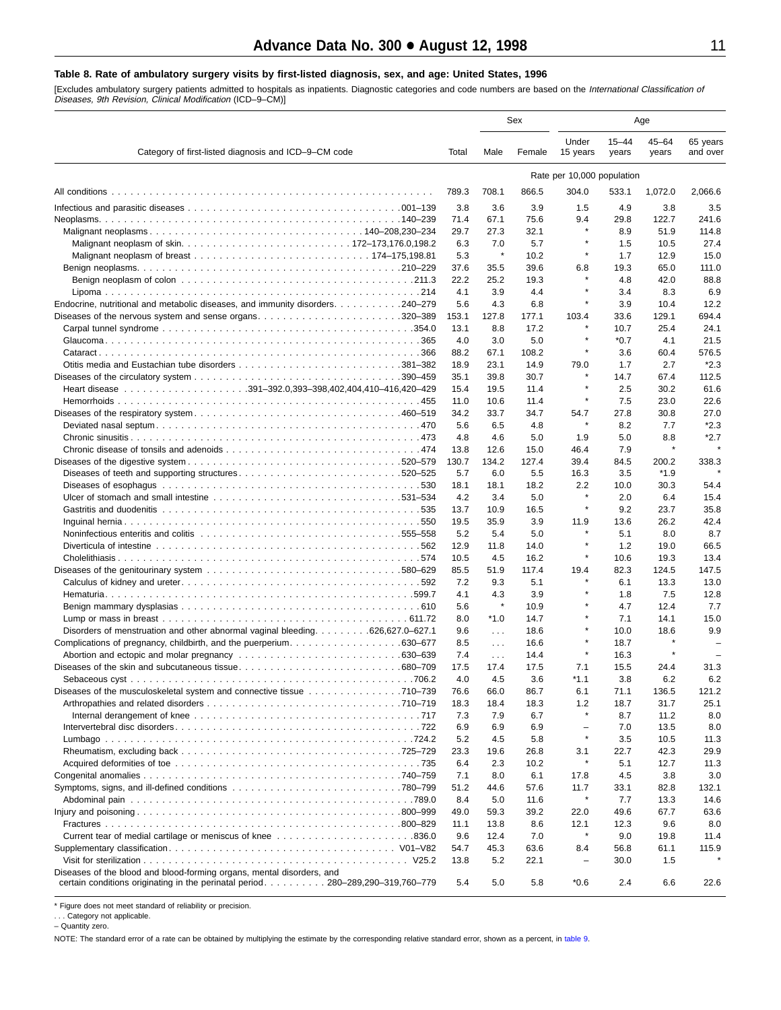#### <span id="page-10-0"></span>**Table 8. Rate of ambulatory surgery visits by first-listed diagnosis, sex, and age: United States, 1996**

[Excludes ambulatory surgery patients admitted to hospitals as inpatients. Diagnostic categories and code numbers are based on the *International Classification of*<br>*Diseases, 9th Revision, Clinical Modification* (ICD–9–CM

|                                                                                                                                          |              |                     | Sex           |                                     |                    | Age                |                      |
|------------------------------------------------------------------------------------------------------------------------------------------|--------------|---------------------|---------------|-------------------------------------|--------------------|--------------------|----------------------|
| Category of first-listed diagnosis and ICD-9-CM code                                                                                     | Total        | Male                | Female        | Under<br>15 years                   | $15 - 44$<br>years | $45 - 64$<br>years | 65 years<br>and over |
|                                                                                                                                          |              |                     |               | Rate per 10,000 population          |                    |                    |                      |
|                                                                                                                                          | 789.3        | 708.1               | 866.5         | 304.0                               | 533.1              | 1,072.0            | 2,066.6              |
|                                                                                                                                          | 3.8          | 3.6                 | 3.9           | 1.5                                 | 4.9                | 3.8                | 3.5                  |
|                                                                                                                                          | 71.4         | 67.1                | 75.6          | 9.4                                 | 29.8               | 122.7              | 241.6                |
|                                                                                                                                          | 29.7         | 27.3                | 32.1          | $\star$                             | 8.9                | 51.9               | 114.8                |
|                                                                                                                                          | 6.3          | 7.0                 | 5.7           |                                     | 1.5                | 10.5               | 27.4                 |
|                                                                                                                                          | 5.3          | ×                   | 10.2          | $\star$                             | 1.7                | 12.9               | 15.0                 |
|                                                                                                                                          | 37.6         | 35.5                | 39.6          | 6.8                                 | 19.3               | 65.0               | 111.0                |
|                                                                                                                                          | 22.2         | 25.2                | 19.3          | $\star$                             | 4.8                | 42.0               | 88.8                 |
|                                                                                                                                          | 4.1          | 3.9                 | 4.4           | $\star$                             | 3.4                | 8.3                | 6.9                  |
| Endocrine, nutritional and metabolic diseases, and immunity disorders. 240–279<br>Diseases of the nervous system and sense organs320–389 | 5.6<br>153.1 | 4.3<br>127.8        | 6.8<br>177.1  | 103.4                               | 3.9<br>33.6        | 10.4<br>129.1      | 12.2<br>694.4        |
|                                                                                                                                          | 13.1         | 8.8                 | 17.2          |                                     | 10.7               | 25.4               | 24.1                 |
|                                                                                                                                          | 4.0          | 3.0                 | 5.0           | $\star$                             | $*0.7$             | 4.1                | 21.5                 |
|                                                                                                                                          | 88.2         | 67.1                | 108.2         | ×                                   | 3.6                | 60.4               | 576.5                |
|                                                                                                                                          | 18.9         | 23.1                | 14.9          | 79.0                                | 1.7                | 2.7                | $*2.3$               |
|                                                                                                                                          | 35.1         | 39.8                | 30.7          | $\star$                             | 14.7               | 67.4               | 112.5                |
|                                                                                                                                          | 15.4         | 19.5                | 11.4          | $\pmb{\ast}$                        | 2.5                | 30.2               | 61.6                 |
|                                                                                                                                          | 11.0         | 10.6                | 11.4          | $\star$                             | 7.5                | 23.0               | 22.6                 |
|                                                                                                                                          | 34.2         | 33.7                | 34.7          | 54.7                                | 27.8               | 30.8               | 27.0                 |
|                                                                                                                                          | 5.6          | 6.5                 | 4.8           | $\star$                             | 8.2                | 7.7                | $*2.3$               |
|                                                                                                                                          | 4.8          | 4.6                 | 5.0           | 1.9                                 | 5.0                | 8.8<br>$\star$     | $*2.7$               |
|                                                                                                                                          | 13.8         | 12.6<br>134.2       | 15.0<br>127.4 | 46.4<br>39.4                        | 7.9<br>84.5        |                    | 338.3                |
| Diseases of teeth and supporting structures520–525                                                                                       | 130.7<br>5.7 | 6.0                 | 5.5           | 16.3                                | 3.5                | 200.2<br>$*1.9$    |                      |
|                                                                                                                                          | 18.1         | 18.1                | 18.2          | 2.2                                 | 10.0               | 30.3               | 54.4                 |
|                                                                                                                                          | 4.2          | 3.4                 | 5.0           | $\star$                             | 2.0                | 6.4                | 15.4                 |
|                                                                                                                                          | 13.7         | 10.9                | 16.5          | $\star$                             | 9.2                | 23.7               | 35.8                 |
|                                                                                                                                          | 19.5         | 35.9                | 3.9           | 11.9                                | 13.6               | 26.2               | 42.4                 |
|                                                                                                                                          | 5.2          | 5.4                 | 5.0           |                                     | 5.1                | 8.0                | 8.7                  |
|                                                                                                                                          | 12.9         | 11.8                | 14.0          | ×                                   | 1.2                | 19.0               | 66.5                 |
|                                                                                                                                          | 10.5         | 4.5                 | 16.2          | ×                                   | 10.6               | 19.3               | 13.4                 |
|                                                                                                                                          | 85.5         | 51.9                | 117.4         | 19.4                                | 82.3               | 124.5              | 147.5                |
|                                                                                                                                          | 7.2          | 9.3                 | 5.1           | $\star$                             | 6.1                | 13.3               | 13.0                 |
|                                                                                                                                          | 4.1<br>5.6   | 4.3<br>$\pmb{\ast}$ | 3.9<br>10.9   | $\star$                             | 1.8<br>4.7         | 7.5<br>12.4        | 12.8<br>7.7          |
|                                                                                                                                          | 8.0          | $*1.0$              | 14.7          | $\star$                             | 7.1                | 14.1               | 15.0                 |
| Disorders of menstruation and other abnormal vaginal bleeding 626,627.0–627.1                                                            | 9.6          | $\ldots$            | 18.6          | $\star$                             | 10.0               | 18.6               | 9.9                  |
| Complications of pregnancy, childbirth, and the puerperium630–677                                                                        | 8.5          | $\sim 100$          | 16.6          | $\star$                             | 18.7               |                    |                      |
|                                                                                                                                          | 7.4          | $\sim 100$          | 14.4          | $\star$                             | 16.3               | $\star$            | $\sim$               |
|                                                                                                                                          | 17.5         | 17.4                | 17.5          | 7.1                                 | 15.5               | 24.4               | 31.3                 |
|                                                                                                                                          | 4.0          | 4.5                 | 3.6           | $*1.1$                              | 3.8                | 6.2                | 6.2                  |
| Diseases of the musculoskeletal system and connective tissue 710–739                                                                     | 76.6         | 66.0                | 86.7          | 6.1                                 | 71.1               | 136.5              | 121.2                |
|                                                                                                                                          | 18.3         | 18.4                | 18.3          | 1.2<br>$\star$                      | 18.7               | 31.7               | 25.1                 |
|                                                                                                                                          | 7.3          | 7.9                 | 6.7           |                                     | 8.7                | 11.2               | 8.0                  |
|                                                                                                                                          | 6.9<br>5.2   | 6.9<br>4.5          | 6.9<br>5.8    | $\overline{\phantom{a}}$<br>$\star$ | 7.0<br>3.5         | 13.5<br>10.5       | 8.0<br>11.3          |
|                                                                                                                                          | 23.3         | 19.6                | 26.8          | 3.1                                 | 22.7               | 42.3               | 29.9                 |
|                                                                                                                                          | 6.4          | 2.3                 | 10.2          | $\star$                             | 5.1                | 12.7               | 11.3                 |
|                                                                                                                                          | 7.1          | 8.0                 | 6.1           | 17.8                                | 4.5                | 3.8                | 3.0                  |
|                                                                                                                                          | 51.2         | 44.6                | 57.6          | 11.7                                | 33.1               | 82.8               | 132.1                |
|                                                                                                                                          | 8.4          | 5.0                 | 11.6          | $\star$                             | 7.7                | 13.3               | 14.6                 |
|                                                                                                                                          | 49.0         | 59.3                | 39.2          | 22.0                                | 49.6               | 67.7               | 63.6                 |
|                                                                                                                                          | 11.1         | 13.8                | 8.6           | 12.1                                | 12.3               | 9.6                | 8.0                  |
|                                                                                                                                          | 9.6          | 12.4                | 7.0           | $\star$                             | 9.0                | 19.8               | 11.4                 |
|                                                                                                                                          | 54.7         | 45.3                | 63.6          | 8.4                                 | 56.8               | 61.1               | 115.9                |
| Diseases of the blood and blood-forming organs, mental disorders, and                                                                    | 13.8         | 5.2                 | 22.1          | $\qquad \qquad -$                   | 30.0               | 1.5                |                      |
| certain conditions originating in the perinatal period. 280-289,290-319,760-779                                                          | 5.4          | 5.0                 | 5.8           | $*0.6$                              | 2.4                | 6.6                | 22.6                 |

\* Figure does not meet standard of reliability or precision.

. . . Category not applicable. – Quantity zero.

NOTE: The standard error of a rate can be obtained by multiplying the estimate by the corresponding relative standard error, shown as a percent, in [table 9.](#page-11-0)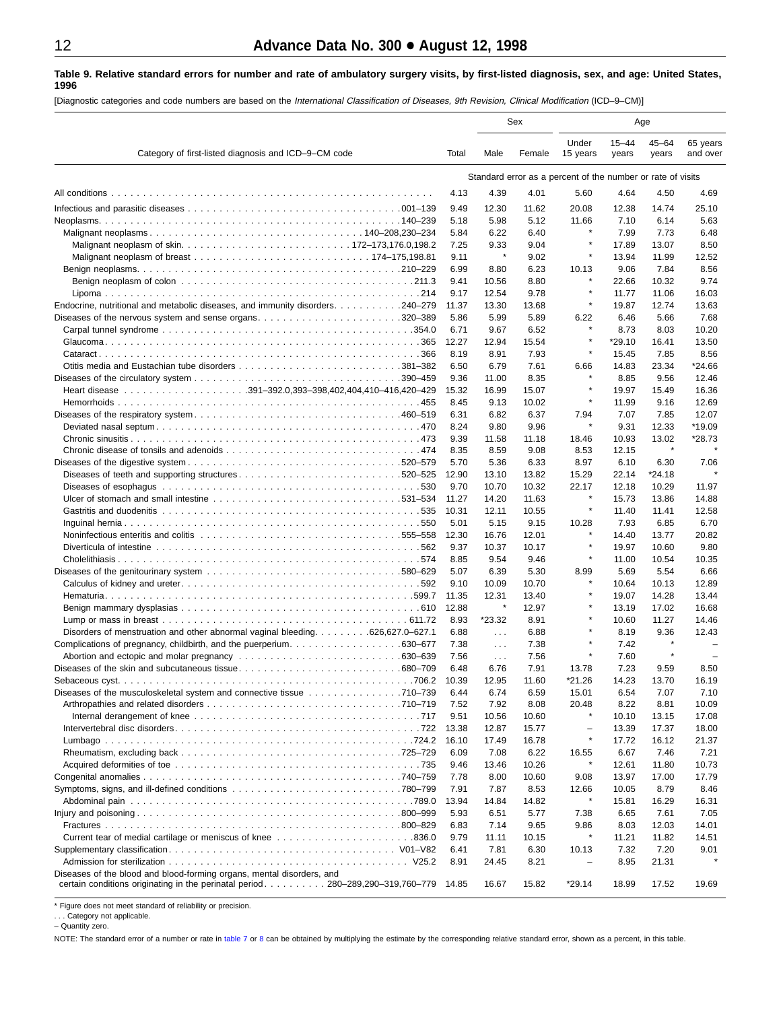#### <span id="page-11-0"></span>**Table 9. Relative standard errors for number and rate of ambulatory surgery visits, by first-listed diagnosis, sex, and age: United States, 1996**

[Diagnostic categories and code numbers are based on the International Classification of Diseases, 9th Revision, Clinical Modification (ICD–9–CM)]

|                                                                                                                |               |                       | Sex           |                                                             |                    | Age                |                          |
|----------------------------------------------------------------------------------------------------------------|---------------|-----------------------|---------------|-------------------------------------------------------------|--------------------|--------------------|--------------------------|
| Category of first-listed diagnosis and ICD-9-CM code                                                           | Total         | Male                  | Female        | Under<br>15 years                                           | $15 - 44$<br>years | $45 - 64$<br>years | 65 years<br>and over     |
|                                                                                                                |               |                       |               | Standard error as a percent of the number or rate of visits |                    |                    |                          |
|                                                                                                                | 4.13          | 4.39                  | 4.01          | 5.60                                                        | 4.64               | 4.50               | 4.69                     |
|                                                                                                                | 9.49          | 12.30                 | 11.62         | 20.08                                                       | 12.38              | 14.74              | 25.10                    |
|                                                                                                                | 5.18          | 5.98                  | 5.12          | 11.66                                                       | 7.10               | 6.14               | 5.63                     |
|                                                                                                                | 5.84          | 6.22                  | 6.40          | $\star$                                                     | 7.99               | 7.73               | 6.48                     |
|                                                                                                                | 7.25          | 9.33                  | 9.04          |                                                             | 17.89              | 13.07              | 8.50                     |
|                                                                                                                | 9.11          | $\pmb{\ast}$          | 9.02          | $\star$                                                     | 13.94              | 11.99              | 12.52                    |
|                                                                                                                | 6.99          | 8.80                  | 6.23          | 10.13                                                       | 9.06               | 7.84               | 8.56                     |
|                                                                                                                | 9.41          | 10.56                 | 8.80          |                                                             | 22.66              | 10.32              | 9.74                     |
|                                                                                                                | 9.17          | 12.54                 | 9.78          | $\star$                                                     | 11.77              | 11.06              | 16.03                    |
| Endocrine, nutritional and metabolic diseases, and immunity disorders. 240–279                                 | 11.37         | 13.30                 | 13.68         | $\star$                                                     | 19.87              | 12.74              | 13.63                    |
|                                                                                                                | 5.86          | 5.99                  | 5.89          | 6.22                                                        | 6.46               | 5.66               | 7.68                     |
|                                                                                                                | 6.71          | 9.67                  | 6.52          | ×                                                           | 8.73               | 8.03               | 10.20                    |
|                                                                                                                | 12.27         | 12.94                 | 15.54         | ×                                                           | $*29.10$           | 16.41              | 13.50                    |
|                                                                                                                | 8.19          | 8.91                  | 7.93          | ×                                                           | 15.45              | 7.85               | 8.56                     |
|                                                                                                                | 6.50          | 6.79                  | 7.61          | 6.66<br>$\star$                                             | 14.83              | 23.34              | *24.66                   |
|                                                                                                                | 9.36          | 11.00                 | 8.35          |                                                             | 8.85               | 9.56               | 12.46                    |
|                                                                                                                | 15.32         | 16.99                 | 15.07         | $\star$                                                     | 19.97              | 15.49              | 16.36                    |
|                                                                                                                | 8.45          | 9.13                  | 10.02         |                                                             | 11.99              | 9.16               | 12.69                    |
|                                                                                                                | 6.31<br>8.24  | 6.82<br>9.80          | 6.37<br>9.96  | 7.94<br>$\star$                                             | 7.07<br>9.31       | 7.85<br>12.33      | 12.07<br>*19.09          |
|                                                                                                                | 9.39          | 11.58                 | 11.18         | 18.46                                                       | 10.93              | 13.02              | *28.73                   |
|                                                                                                                | 8.35          | 8.59                  | 9.08          | 8.53                                                        | 12.15              | $\star$            |                          |
|                                                                                                                | 5.70          | 5.36                  | 6.33          | 8.97                                                        | 6.10               | 6.30               | 7.06                     |
| Diseases of teeth and supporting structures520–525                                                             | 12.90         | 13.10                 | 13.82         | 15.29                                                       | 22.14              | $*24.18$           |                          |
| . 530                                                                                                          | 9.70          | 10.70                 | 10.32         | 22.17                                                       | 12.18              | 10.29              | 11.97                    |
|                                                                                                                | 11.27         | 14.20                 | 11.63         | ×                                                           | 15.73              | 13.86              | 14.88                    |
|                                                                                                                | 10.31         | 12.11                 | 10.55         | $\star$                                                     | 11.40              | 11.41              | 12.58                    |
|                                                                                                                | 5.01          | 5.15                  | 9.15          | 10.28                                                       | 7.93               | 6.85               | 6.70                     |
| Noninfectious enteritis and colitis entering research contained and response in the series of the series of th | 12.30         | 16.76                 | 12.01         | ×                                                           | 14.40              | 13.77              | 20.82                    |
|                                                                                                                | 9.37          | 10.37                 | 10.17         |                                                             | 19.97              | 10.60              | 9.80                     |
|                                                                                                                | 8.85          | 9.54                  | 9.46          | $\star$                                                     | 11.00              | 10.54              | 10.35                    |
|                                                                                                                | 5.07          | 6.39                  | 5.30          | 8.99<br>$\star$                                             | 5.69               | 5.54               | 6.66                     |
|                                                                                                                | 9.10          | 10.09                 | 10.70         | $\star$                                                     | 10.64              | 10.13              | 12.89                    |
|                                                                                                                | 11.35         | 12.31<br>$\pmb{\ast}$ | 13.40         | $\star$                                                     | 19.07              | 14.28              | 13.44                    |
|                                                                                                                | 12.88<br>8.93 | *23.32                | 12.97<br>8.91 |                                                             | 13.19<br>10.60     | 17.02<br>11.27     | 16.68<br>14.46           |
| Disorders of menstruation and other abnormal vaginal bleeding 626,627.0–627.1                                  | 6.88          | $\sim$ $\sim$         | 6.88          | ۸                                                           | 8.19               | 9.36               | 12.43                    |
| Complications of pregnancy, childbirth, and the puerperium630–677                                              | 7.38          | $\sim 100$            | 7.38          | $\star$                                                     | 7.42               | $\star$            |                          |
|                                                                                                                | 7.56          | $\sim 100$            | 7.56          | $\star$                                                     | 7.60               | $\star$            | $\overline{\phantom{0}}$ |
|                                                                                                                | 6.48          | 6.76                  | 7.91          | 13.78                                                       | 7.23               | 9.59               | 8.50                     |
| .706.2                                                                                                         | 10.39         | 12.95                 | 11.60         | *21.26                                                      | 14.23              | 13.70              | 16.19                    |
| Diseases of the musculoskeletal system and connective tissue 710–739                                           | 6.44          | 6.74                  | 6.59          | 15.01                                                       | 6.54               | 7.07               | 7.10                     |
|                                                                                                                | 7.52          | 7.92                  | 8.08          | 20.48                                                       | 8.22               | 8.81               | 10.09                    |
|                                                                                                                | 9.51          | 10.56                 | 10.60         |                                                             | 10.10              | 13.15              | 17.08                    |
|                                                                                                                | 13.38         | 12.87                 | 15.77         | $\qquad \qquad -$                                           | 13.39              | 17.37              | 18.00                    |
|                                                                                                                | 16.10         | 17.49                 | 16.78         | $\star$                                                     | 17.72              | 16.12              | 21.37                    |
|                                                                                                                | 6.09          | 7.08                  | 6.22          | 16.55<br>×                                                  | 6.67               | 7.46               | 7.21                     |
|                                                                                                                | 9.46          | 13.46                 | 10.26         |                                                             | 12.61              | 11.80              | 10.73                    |
|                                                                                                                | 7.78<br>7.91  | 8.00                  | 10.60         | 9.08                                                        | 13.97              | 17.00              | 17.79                    |
|                                                                                                                | 13.94         | 7.87<br>14.84         | 8.53<br>14.82 | 12.66<br>$\star$                                            | 10.05<br>15.81     | 8.79<br>16.29      | 8.46<br>16.31            |
|                                                                                                                | 5.93          | 6.51                  | 5.77          | 7.38                                                        | 6.65               | 7.61               | 7.05                     |
|                                                                                                                | 6.83          | 7.14                  | 9.65          | 9.86                                                        | 8.03               | 12.03              | 14.01                    |
|                                                                                                                | 9.79          | 11.11                 | 10.15         | $\star$                                                     | 11.21              | 11.82              | 14.51                    |
|                                                                                                                | 6.41          | 7.81                  | 6.30          | 10.13                                                       | 7.32               | 7.20               | 9.01                     |
|                                                                                                                | 8.91          | 24.45                 | 8.21          | $\qquad \qquad -$                                           | 8.95               | 21.31              |                          |
| Diseases of the blood and blood-forming organs, mental disorders, and                                          |               |                       |               |                                                             |                    |                    |                          |
| certain conditions originating in the perinatal period. 280-289,290-319,760-779 14.85                          |               | 16.67                 | 15.82         | $*29.14$                                                    | 18.99              | 17.52              | 19.69                    |

\* Figure does not meet standard of reliability or precision.

. . . Category not applicable. – Quantity zero.

NOTE: The standard error of a number or rate in [table 7](#page-9-0) or 8 [can b](#page-10-0)e obtained by multiplying the estimate by the corresponding relative standard error, shown as a percent, in this table.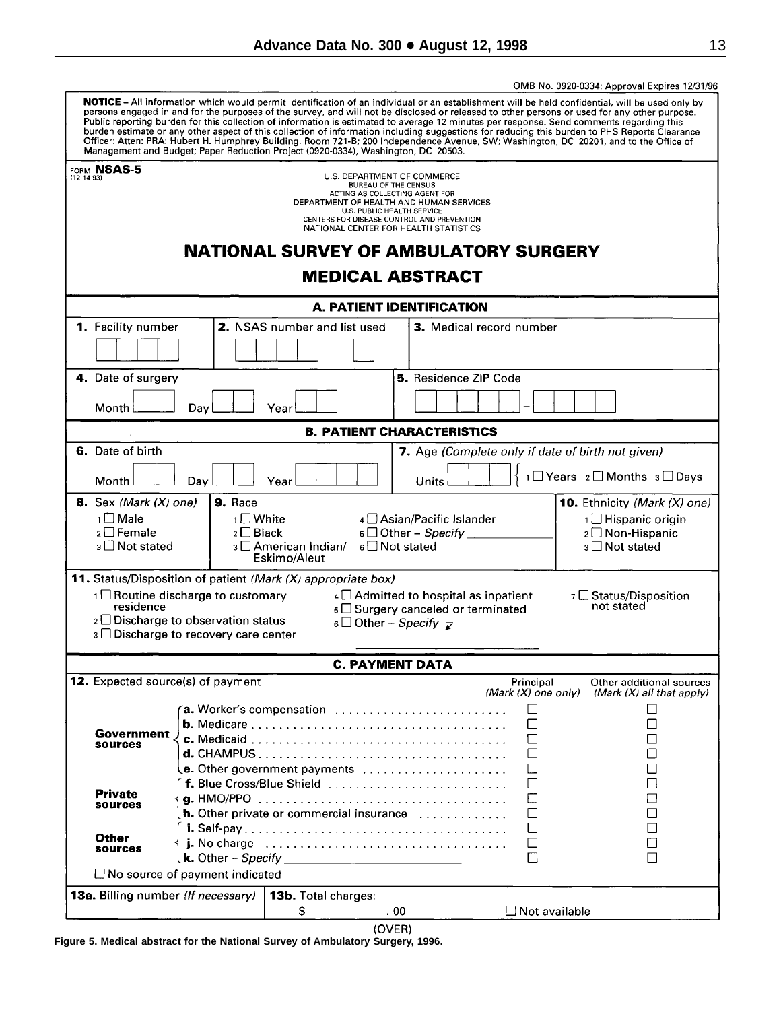<span id="page-12-0"></span>

|                                                             |                                             |                                                                                                                                                                                                                                                                                                                                                                                                                                                                                                                                                                                                                                                                                                                                                                                                                                   |                                                                                     |                                    | OMB No. 0920-0334: Approval Expires 12/31/96            |  |  |  |
|-------------------------------------------------------------|---------------------------------------------|-----------------------------------------------------------------------------------------------------------------------------------------------------------------------------------------------------------------------------------------------------------------------------------------------------------------------------------------------------------------------------------------------------------------------------------------------------------------------------------------------------------------------------------------------------------------------------------------------------------------------------------------------------------------------------------------------------------------------------------------------------------------------------------------------------------------------------------|-------------------------------------------------------------------------------------|------------------------------------|---------------------------------------------------------|--|--|--|
|                                                             |                                             | <b>NOTICE</b> – All information which would permit identification of an individual or an establishment will be held confidential, will be used only by<br>persons engaged in and for the purposes of the survey, and will not be disclosed or released to other persons or used for any other purpose.<br>Public reporting burden for this collection of information is estimated to average 12 minutes per response. Send comments regarding this<br>burden estimate or any other aspect of this collection of information including suggestions for reducing this burden to PHS Reports Clearance<br>Officer: Atten: PRA: Hubert H. Humphrey Building, Room 721-B; 200 Independence Avenue, SW; Washington, DC 20201, and to the Office of<br>Management and Budget; Paper Reduction Project (0920-0334), Washington, DC 20503. |                                                                                     |                                    |                                                         |  |  |  |
| <sub>form</sub> NSAS-5                                      |                                             |                                                                                                                                                                                                                                                                                                                                                                                                                                                                                                                                                                                                                                                                                                                                                                                                                                   |                                                                                     |                                    |                                                         |  |  |  |
| (12-14-93)                                                  |                                             |                                                                                                                                                                                                                                                                                                                                                                                                                                                                                                                                                                                                                                                                                                                                                                                                                                   | U.S. DEPARTMENT OF COMMERCE<br><b>BUREAU OF THE CENSUS</b>                          |                                    |                                                         |  |  |  |
|                                                             |                                             |                                                                                                                                                                                                                                                                                                                                                                                                                                                                                                                                                                                                                                                                                                                                                                                                                                   | ACTING AS COLLECTING AGENT FOR<br>DEPARTMENT OF HEALTH AND HUMAN SERVICES           |                                    |                                                         |  |  |  |
|                                                             |                                             |                                                                                                                                                                                                                                                                                                                                                                                                                                                                                                                                                                                                                                                                                                                                                                                                                                   | U.S. PUBLIC HEALTH SERVICE                                                          |                                    |                                                         |  |  |  |
|                                                             |                                             |                                                                                                                                                                                                                                                                                                                                                                                                                                                                                                                                                                                                                                                                                                                                                                                                                                   | CENTERS FOR DISEASE CONTROL AND PREVENTION<br>NATIONAL CENTER FOR HEALTH STATISTICS |                                    |                                                         |  |  |  |
|                                                             |                                             | <b>NATIONAL SURVEY OF AMBULATORY SURGERY</b>                                                                                                                                                                                                                                                                                                                                                                                                                                                                                                                                                                                                                                                                                                                                                                                      |                                                                                     |                                    |                                                         |  |  |  |
|                                                             |                                             |                                                                                                                                                                                                                                                                                                                                                                                                                                                                                                                                                                                                                                                                                                                                                                                                                                   | <b>MEDICAL ABSTRACT</b>                                                             |                                    |                                                         |  |  |  |
|                                                             |                                             |                                                                                                                                                                                                                                                                                                                                                                                                                                                                                                                                                                                                                                                                                                                                                                                                                                   | <b>A. PATIENT IDENTIFICATION</b>                                                    |                                    |                                                         |  |  |  |
| 1. Facility number                                          |                                             | 2. NSAS number and list used                                                                                                                                                                                                                                                                                                                                                                                                                                                                                                                                                                                                                                                                                                                                                                                                      | 3. Medical record number                                                            |                                    |                                                         |  |  |  |
|                                                             |                                             |                                                                                                                                                                                                                                                                                                                                                                                                                                                                                                                                                                                                                                                                                                                                                                                                                                   |                                                                                     |                                    |                                                         |  |  |  |
|                                                             |                                             |                                                                                                                                                                                                                                                                                                                                                                                                                                                                                                                                                                                                                                                                                                                                                                                                                                   |                                                                                     |                                    |                                                         |  |  |  |
| 4. Date of surgery                                          |                                             |                                                                                                                                                                                                                                                                                                                                                                                                                                                                                                                                                                                                                                                                                                                                                                                                                                   | 5. Residence ZIP Code                                                               |                                    |                                                         |  |  |  |
|                                                             |                                             |                                                                                                                                                                                                                                                                                                                                                                                                                                                                                                                                                                                                                                                                                                                                                                                                                                   |                                                                                     |                                    |                                                         |  |  |  |
| Month                                                       | Day                                         | Year                                                                                                                                                                                                                                                                                                                                                                                                                                                                                                                                                                                                                                                                                                                                                                                                                              |                                                                                     |                                    |                                                         |  |  |  |
|                                                             |                                             |                                                                                                                                                                                                                                                                                                                                                                                                                                                                                                                                                                                                                                                                                                                                                                                                                                   | <b>B. PATIENT CHARACTERISTICS</b>                                                   |                                    |                                                         |  |  |  |
| 6. Date of birth                                            |                                             |                                                                                                                                                                                                                                                                                                                                                                                                                                                                                                                                                                                                                                                                                                                                                                                                                                   | 7. Age (Complete only if date of birth not given)                                   |                                    |                                                         |  |  |  |
|                                                             |                                             |                                                                                                                                                                                                                                                                                                                                                                                                                                                                                                                                                                                                                                                                                                                                                                                                                                   |                                                                                     |                                    |                                                         |  |  |  |
| 1 DYears 2 D Months 3 Days<br>Month<br>Day<br>Year<br>Units |                                             |                                                                                                                                                                                                                                                                                                                                                                                                                                                                                                                                                                                                                                                                                                                                                                                                                                   |                                                                                     |                                    |                                                         |  |  |  |
| <b>8.</b> Sex (Mark $(X)$ one)                              | <b>9.</b> Race                              |                                                                                                                                                                                                                                                                                                                                                                                                                                                                                                                                                                                                                                                                                                                                                                                                                                   |                                                                                     |                                    | 10. Ethnicity (Mark (X) one)                            |  |  |  |
| 1□ Male                                                     | 1□ White                                    |                                                                                                                                                                                                                                                                                                                                                                                                                                                                                                                                                                                                                                                                                                                                                                                                                                   | 4 Asian/Pacific Islander                                                            |                                    | 1 □ Hispanic origin                                     |  |  |  |
| $2 \square$ Female                                          | $2 \Box$ Black                              |                                                                                                                                                                                                                                                                                                                                                                                                                                                                                                                                                                                                                                                                                                                                                                                                                                   | $5\Box$ Other – Specify $\Box$                                                      |                                    | 2 □ Non-Hispanic                                        |  |  |  |
| $3 \square$ Not stated                                      |                                             | 3 □ American Indian/                                                                                                                                                                                                                                                                                                                                                                                                                                                                                                                                                                                                                                                                                                                                                                                                              | $6 \square$ Not stated                                                              |                                    | 3 □ Not stated                                          |  |  |  |
|                                                             |                                             | Eskimo/Aleut                                                                                                                                                                                                                                                                                                                                                                                                                                                                                                                                                                                                                                                                                                                                                                                                                      |                                                                                     |                                    |                                                         |  |  |  |
|                                                             |                                             | 11. Status/Disposition of patient (Mark (X) appropriate box)                                                                                                                                                                                                                                                                                                                                                                                                                                                                                                                                                                                                                                                                                                                                                                      |                                                                                     |                                    |                                                         |  |  |  |
|                                                             | 1 Routine discharge to customary            |                                                                                                                                                                                                                                                                                                                                                                                                                                                                                                                                                                                                                                                                                                                                                                                                                                   | $4 \square$ Admitted to hospital as inpatient                                       |                                    | 7 Status/Disposition                                    |  |  |  |
| residence                                                   |                                             |                                                                                                                                                                                                                                                                                                                                                                                                                                                                                                                                                                                                                                                                                                                                                                                                                                   | 5 □ Surgery canceled or terminated                                                  |                                    | not stated                                              |  |  |  |
|                                                             | $2 \square$ Discharge to observation status |                                                                                                                                                                                                                                                                                                                                                                                                                                                                                                                                                                                                                                                                                                                                                                                                                                   | 6 Other – Specify $\mathbf{z}$                                                      |                                    |                                                         |  |  |  |
|                                                             | 3 □ Discharge to recovery care center       |                                                                                                                                                                                                                                                                                                                                                                                                                                                                                                                                                                                                                                                                                                                                                                                                                                   |                                                                                     |                                    |                                                         |  |  |  |
|                                                             |                                             |                                                                                                                                                                                                                                                                                                                                                                                                                                                                                                                                                                                                                                                                                                                                                                                                                                   |                                                                                     |                                    |                                                         |  |  |  |
|                                                             |                                             |                                                                                                                                                                                                                                                                                                                                                                                                                                                                                                                                                                                                                                                                                                                                                                                                                                   | <b>C. PAYMENT DATA</b>                                                              |                                    |                                                         |  |  |  |
| 12. Expected source(s) of payment                           |                                             |                                                                                                                                                                                                                                                                                                                                                                                                                                                                                                                                                                                                                                                                                                                                                                                                                                   |                                                                                     | Principal<br>(Mark $(X)$ one only) | Other additional sources<br>(Mark $(X)$ all that apply) |  |  |  |
|                                                             |                                             |                                                                                                                                                                                                                                                                                                                                                                                                                                                                                                                                                                                                                                                                                                                                                                                                                                   |                                                                                     |                                    |                                                         |  |  |  |
|                                                             |                                             | $a.$ Worker's compensation $\ldots \ldots \ldots \ldots \ldots \ldots \ldots$                                                                                                                                                                                                                                                                                                                                                                                                                                                                                                                                                                                                                                                                                                                                                     |                                                                                     | $\perp$                            |                                                         |  |  |  |
| Government                                                  |                                             |                                                                                                                                                                                                                                                                                                                                                                                                                                                                                                                                                                                                                                                                                                                                                                                                                                   |                                                                                     | П                                  |                                                         |  |  |  |
| sources                                                     |                                             |                                                                                                                                                                                                                                                                                                                                                                                                                                                                                                                                                                                                                                                                                                                                                                                                                                   |                                                                                     | П                                  |                                                         |  |  |  |
|                                                             |                                             |                                                                                                                                                                                                                                                                                                                                                                                                                                                                                                                                                                                                                                                                                                                                                                                                                                   |                                                                                     |                                    |                                                         |  |  |  |
|                                                             |                                             | <b>e.</b> Other government payments $\ldots \ldots \ldots \ldots \ldots \ldots$                                                                                                                                                                                                                                                                                                                                                                                                                                                                                                                                                                                                                                                                                                                                                   |                                                                                     |                                    |                                                         |  |  |  |
| <b>Private</b>                                              |                                             | f. Blue Cross/Blue Shield                                                                                                                                                                                                                                                                                                                                                                                                                                                                                                                                                                                                                                                                                                                                                                                                         |                                                                                     |                                    |                                                         |  |  |  |
| sources                                                     |                                             |                                                                                                                                                                                                                                                                                                                                                                                                                                                                                                                                                                                                                                                                                                                                                                                                                                   |                                                                                     |                                    |                                                         |  |  |  |
|                                                             |                                             | <b>h.</b> Other private or commercial insurance $\ldots$ ,                                                                                                                                                                                                                                                                                                                                                                                                                                                                                                                                                                                                                                                                                                                                                                        |                                                                                     |                                    |                                                         |  |  |  |
| Other                                                       |                                             |                                                                                                                                                                                                                                                                                                                                                                                                                                                                                                                                                                                                                                                                                                                                                                                                                                   |                                                                                     |                                    |                                                         |  |  |  |
| sources                                                     |                                             | j. No charge (and all and all and all and all and all and all and all and all and all and all and all and all a                                                                                                                                                                                                                                                                                                                                                                                                                                                                                                                                                                                                                                                                                                                   |                                                                                     |                                    |                                                         |  |  |  |
|                                                             |                                             |                                                                                                                                                                                                                                                                                                                                                                                                                                                                                                                                                                                                                                                                                                                                                                                                                                   |                                                                                     | $\Box$                             |                                                         |  |  |  |
|                                                             | $\Box$ No source of payment indicated       |                                                                                                                                                                                                                                                                                                                                                                                                                                                                                                                                                                                                                                                                                                                                                                                                                                   |                                                                                     |                                    |                                                         |  |  |  |
| 13a. Billing number (If necessary)                          |                                             | 13b. Total charges:                                                                                                                                                                                                                                                                                                                                                                                                                                                                                                                                                                                                                                                                                                                                                                                                               |                                                                                     |                                    |                                                         |  |  |  |
|                                                             |                                             | $\frac{\text{S}}{\text{S}}$                                                                                                                                                                                                                                                                                                                                                                                                                                                                                                                                                                                                                                                                                                                                                                                                       | $.00 \,$                                                                            | $\Box$ Not available               |                                                         |  |  |  |
|                                                             |                                             |                                                                                                                                                                                                                                                                                                                                                                                                                                                                                                                                                                                                                                                                                                                                                                                                                                   |                                                                                     |                                    |                                                         |  |  |  |

**Figure 5. Medical abstract for the National Survey of Ambulatory Surgery, 1996.**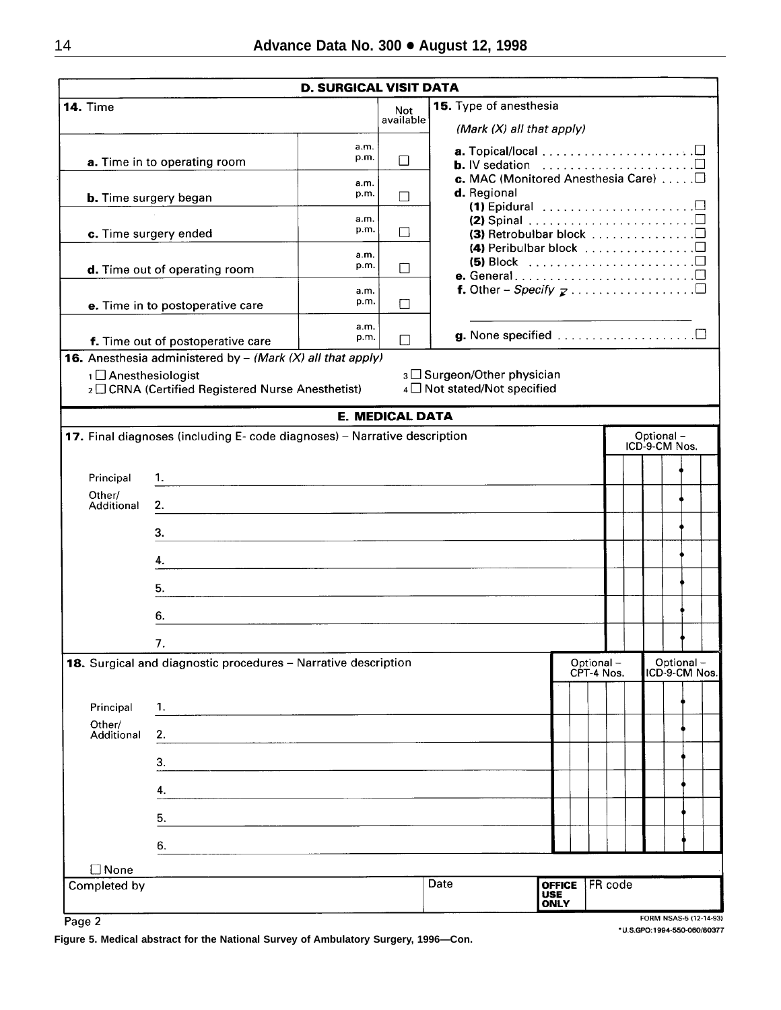|                                 |                                                                                                                            | <b>D. SURGICAL VISIT DATA</b> |                        |                                                                                                                           |                                            |                         |                      |  |  |                             |                            |  |
|---------------------------------|----------------------------------------------------------------------------------------------------------------------------|-------------------------------|------------------------|---------------------------------------------------------------------------------------------------------------------------|--------------------------------------------|-------------------------|----------------------|--|--|-----------------------------|----------------------------|--|
| <b>14. Time</b>                 |                                                                                                                            |                               | Not<br>available       | 15. Type of anesthesia<br>(Mark $(X)$ all that apply)                                                                     |                                            |                         |                      |  |  |                             |                            |  |
|                                 | a. Time in to operating room                                                                                               | a.m.<br>p.m.                  | П                      | <b>b.</b> IV sedation $\ldots \ldots \ldots \ldots \ldots \ldots \square$<br>c. MAC (Monitored Anesthesia Care) $\square$ |                                            |                         |                      |  |  |                             |                            |  |
|                                 | <b>b.</b> Time surgery began                                                                                               | a.m.<br>p.m.                  | П                      | d. Regional<br>(1) Epidural $\ldots \ldots \ldots \ldots \ldots \ldots \ldots$                                            |                                            |                         |                      |  |  |                             |                            |  |
|                                 | c. Time surgery ended                                                                                                      | a.m.<br>p.m.                  | П                      | (2) Spinal $\ldots \ldots \ldots \ldots \ldots \ldots \ldots \square$                                                     |                                            |                         | (4) Peribulbar block |  |  |                             |                            |  |
|                                 | d. Time out of operating room                                                                                              | a.m.<br>p.m.                  | П                      | (5) Block $\ldots \ldots \ldots \ldots \ldots \ldots \ldots \square$                                                      |                                            |                         |                      |  |  |                             |                            |  |
|                                 | e. Time in to postoperative care                                                                                           | a.m.<br>p.m.                  | П                      |                                                                                                                           |                                            |                         |                      |  |  |                             |                            |  |
|                                 | f. Time out of postoperative care<br><b>16.</b> Anesthesia administered by $-$ (Mark (X) all that apply)                   | a.m.<br>p.m.                  | П                      | g. None specified $\ldots$ $\Box$                                                                                         |                                            |                         |                      |  |  |                             |                            |  |
| 1 <sup>1</sup> Anesthesiologist | 2 □ CRNA (Certified Registered Nurse Anesthetist)                                                                          |                               |                        | 3 Surgeon/Other physician<br>4 Not stated/Not specified                                                                   |                                            |                         |                      |  |  |                             |                            |  |
|                                 |                                                                                                                            |                               | <b>E. MEDICAL DATA</b> |                                                                                                                           |                                            |                         |                      |  |  |                             |                            |  |
|                                 | 17. Final diagnoses (including E- code diagnoses) - Narrative description                                                  |                               |                        |                                                                                                                           |                                            |                         |                      |  |  | Optional -<br>ICD-9-CM Nos. |                            |  |
| Principal                       | 1.<br><u> 1980 - Johann Stein, Amerikaansk politiker (* 1908)</u>                                                          |                               |                        |                                                                                                                           |                                            |                         |                      |  |  |                             |                            |  |
| Other/<br>Additional            | 2.                                                                                                                         |                               |                        |                                                                                                                           |                                            |                         |                      |  |  |                             |                            |  |
|                                 | 3.<br><u> 1980 - Jan Samuel Barbara, martin da shekara 1980 - An tsara 1980 - An tsara 1980 - An tsara 1980 - An tsara</u> |                               |                        |                                                                                                                           |                                            |                         |                      |  |  |                             |                            |  |
|                                 | 4.                                                                                                                         |                               |                        |                                                                                                                           |                                            |                         |                      |  |  |                             |                            |  |
|                                 | 5.                                                                                                                         |                               |                        |                                                                                                                           |                                            |                         |                      |  |  |                             |                            |  |
|                                 | 6.<br>7.                                                                                                                   |                               |                        |                                                                                                                           |                                            |                         |                      |  |  |                             |                            |  |
|                                 | 18. Surgical and diagnostic procedures - Narrative description                                                             |                               |                        |                                                                                                                           |                                            | Optional-<br>CPT-4 Nos. |                      |  |  |                             | Optional-<br>ICD-9-CM Nos. |  |
| Principal                       | 1.<br><u> 1989 - Jan James James James James James James James James James James James James James James James James J</u> |                               |                        |                                                                                                                           |                                            |                         |                      |  |  |                             |                            |  |
| Other/<br>Additional            | 2.                                                                                                                         |                               |                        |                                                                                                                           |                                            |                         |                      |  |  |                             |                            |  |
|                                 | З.                                                                                                                         |                               |                        |                                                                                                                           |                                            |                         |                      |  |  |                             |                            |  |
|                                 | 4.                                                                                                                         |                               |                        |                                                                                                                           |                                            |                         |                      |  |  |                             |                            |  |
|                                 | 5.                                                                                                                         |                               |                        |                                                                                                                           |                                            |                         |                      |  |  |                             |                            |  |
|                                 | 6.                                                                                                                         |                               |                        |                                                                                                                           |                                            |                         |                      |  |  |                             |                            |  |
| $\Box$ None<br>Completed by     |                                                                                                                            |                               |                        | Date                                                                                                                      | <b>OFFICE</b><br><b>USE</b><br><b>ONLY</b> |                         | FR code              |  |  |                             |                            |  |

Page 2

**Figure 5. Medical abstract for the National Survey of Ambulatory Surgery, 1996—Con.**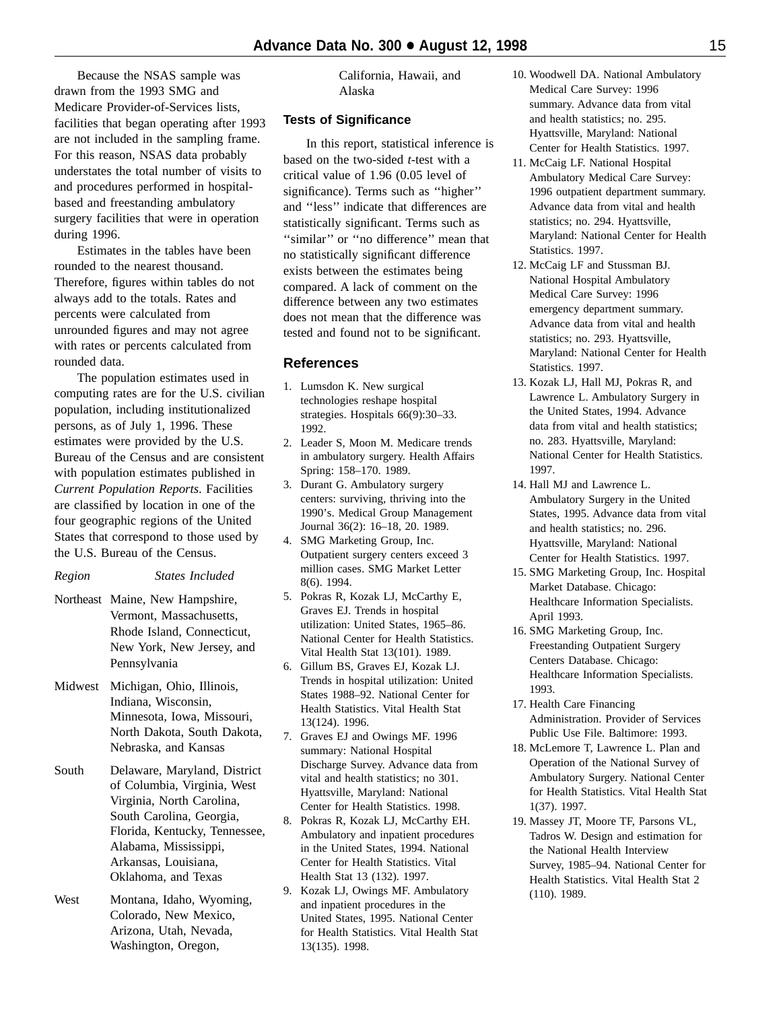Because the NSAS sample was drawn from the 1993 SMG and Medicare Provider-of-Services lists, facilities that began operating after 1993 are not included in the sampling frame. For this reason, NSAS data probably understates the total number of visits to and procedures performed in hospitalbased and freestanding ambulatory surgery facilities that were in operation during 1996.

Estimates in the tables have been rounded to the nearest thousand. Therefore, figures within tables do not always add to the totals. Rates and percents were calculated from unrounded figures and may not agree with rates or percents calculated from rounded data.

The population estimates used in computing rates are for the U.S. civilian population, including institutionalized persons, as of July 1, 1996. These estimates were provided by the U.S. Bureau of the Census and are consistent with population estimates published in *Current Population Reports*. Facilities are classified by location in one of the four geographic regions of the United States that correspond to those used by the U.S. Bureau of the Census.

- *Region States Included*
- Northeast Maine, New Hampshire, Vermont, Massachusetts, Rhode Island, Connecticut, New York, New Jersey, and Pennsylvania
- Midwest Michigan, Ohio, Illinois, Indiana, Wisconsin, Minnesota, Iowa, Missouri, North Dakota, South Dakota, Nebraska, and Kansas
- South Delaware, Maryland, District of Columbia, Virginia, West Virginia, North Carolina, South Carolina, Georgia, Florida, Kentucky, Tennessee, Alabama, Mississippi, Arkansas, Louisiana, Oklahoma, and Texas
- West Montana, Idaho, Wyoming, Colorado, New Mexico, Arizona, Utah, Nevada, Washington, Oregon,

California, Hawaii, and Alaska

# **Tests of Significance**

In this report, statistical inference is based on the two-sided *t*-test with a critical value of 1.96 (0.05 level of significance). Terms such as ''higher'' and ''less'' indicate that differences are statistically significant. Terms such as ''similar'' or ''no difference'' mean that no statistically significant difference exists between the estimates being compared. A lack of comment on the difference between any two estimates does not mean that the difference was tested and found not to be significant.

#### **References**

- 1. Lumsdon K. New surgical technologies reshape hospital strategies. Hospitals 66(9):30–33. 1992.
- 2. Leader S, Moon M. Medicare trends in ambulatory surgery. Health Affairs Spring: 158–170. 1989.
- 3. Durant G. Ambulatory surgery centers: surviving, thriving into the 1990's. Medical Group Management Journal 36(2): 16–18, 20. 1989.
- 4. SMG Marketing Group, Inc. Outpatient surgery centers exceed 3 million cases. SMG Market Letter 8(6). 1994.
- 5. Pokras R, Kozak LJ, McCarthy E, Graves EJ. Trends in hospital utilization: United States, 1965–86. National Center for Health Statistics. Vital Health Stat 13(101). 1989.
- 6. Gillum BS, Graves EJ, Kozak LJ. Trends in hospital utilization: United States 1988–92. National Center for Health Statistics. Vital Health Stat 13(124). 1996.
- 7. Graves EJ and Owings MF. 1996 summary: National Hospital Discharge Survey. Advance data from vital and health statistics; no 301. Hyattsville, Maryland: National Center for Health Statistics. 1998.
- 8. Pokras R, Kozak LJ, McCarthy EH. Ambulatory and inpatient procedures in the United States, 1994. National Center for Health Statistics. Vital Health Stat 13 (132). 1997.
- 9. Kozak LJ, Owings MF. Ambulatory and inpatient procedures in the United States, 1995. National Center for Health Statistics. Vital Health Stat 13(135). 1998.
- 10. Woodwell DA. National Ambulatory Medical Care Survey: 1996 summary. Advance data from vital and health statistics; no. 295. Hyattsville, Maryland: National Center for Health Statistics. 1997.
- 11. McCaig LF. National Hospital Ambulatory Medical Care Survey: 1996 outpatient department summary. Advance data from vital and health statistics; no. 294. Hyattsville, Maryland: National Center for Health Statistics. 1997.
- 12. McCaig LF and Stussman BJ. National Hospital Ambulatory Medical Care Survey: 1996 emergency department summary. Advance data from vital and health statistics; no. 293. Hyattsville, Maryland: National Center for Health Statistics. 1997.
- 13. Kozak LJ, Hall MJ, Pokras R, and Lawrence L. Ambulatory Surgery in the United States, 1994. Advance data from vital and health statistics; no. 283. Hyattsville, Maryland: National Center for Health Statistics. 1997.
- 14. Hall MJ and Lawrence L. Ambulatory Surgery in the United States, 1995. Advance data from vital and health statistics; no. 296. Hyattsville, Maryland: National Center for Health Statistics. 1997.
- 15. SMG Marketing Group, Inc. Hospital Market Database. Chicago: Healthcare Information Specialists. April 1993.
- 16. SMG Marketing Group, Inc. Freestanding Outpatient Surgery Centers Database. Chicago: Healthcare Information Specialists. 1993.
- 17. Health Care Financing Administration. Provider of Services Public Use File. Baltimore: 1993.
- 18. McLemore T, Lawrence L. Plan and Operation of the National Survey of Ambulatory Surgery. National Center for Health Statistics. Vital Health Stat 1(37). 1997.
- 19. Massey JT, Moore TF, Parsons VL, Tadros W. Design and estimation for the National Health Interview Survey, 1985–94. National Center for Health Statistics. Vital Health Stat 2 (110). 1989.